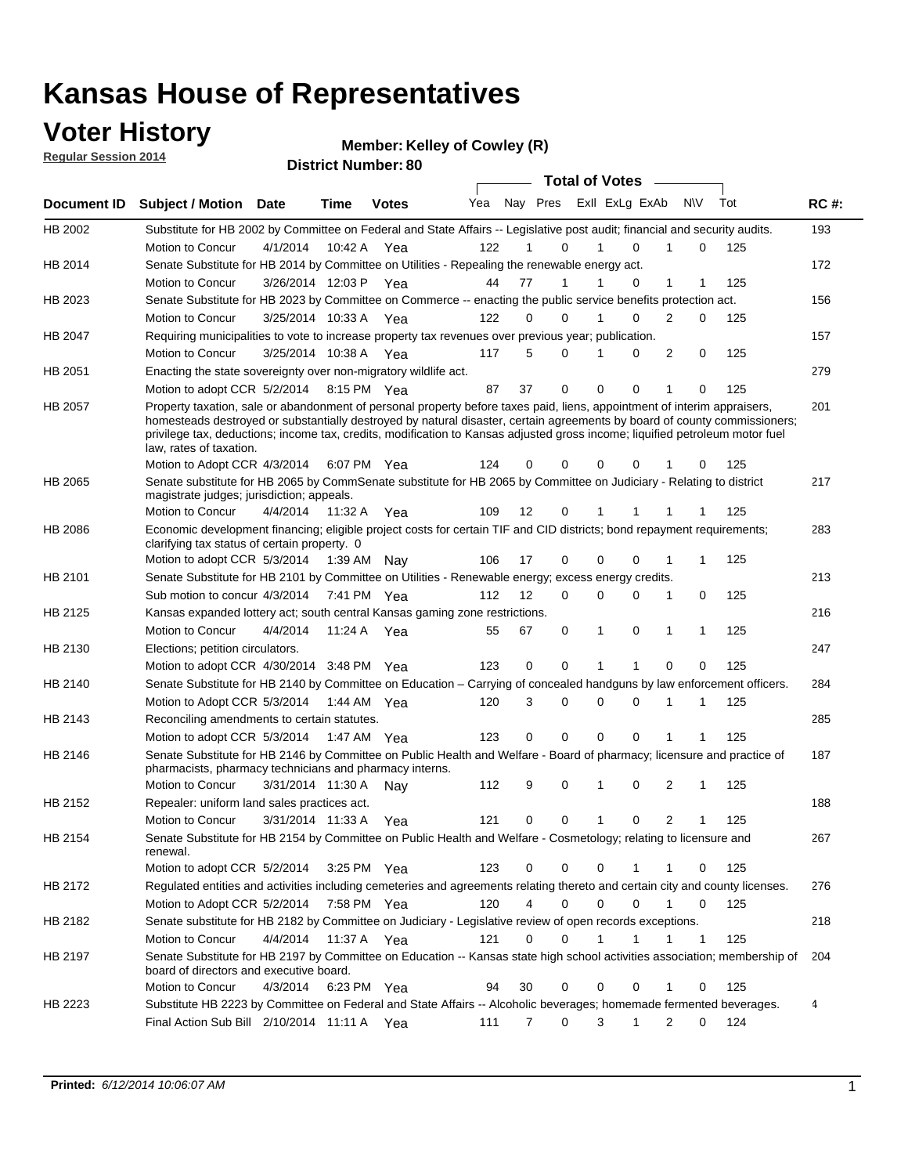### **Voter History**

**Regular Session 2014**

**Member: Kelley of Cowley (R)** 

|                |                                                                                                                                                                                                                                                                                                                                                                                                                  |                      |             |              |     |          |   | <b>Total of Votes</b> |                |                |          |     |             |
|----------------|------------------------------------------------------------------------------------------------------------------------------------------------------------------------------------------------------------------------------------------------------------------------------------------------------------------------------------------------------------------------------------------------------------------|----------------------|-------------|--------------|-----|----------|---|-----------------------|----------------|----------------|----------|-----|-------------|
|                | Document ID Subject / Motion Date                                                                                                                                                                                                                                                                                                                                                                                |                      | Time        | <b>Votes</b> | Yea | Nay Pres |   |                       | Exll ExLg ExAb | N\V            |          | Tot | <b>RC#:</b> |
| HB 2002        | Substitute for HB 2002 by Committee on Federal and State Affairs -- Legislative post audit; financial and security audits.                                                                                                                                                                                                                                                                                       |                      |             |              |     |          |   |                       |                |                |          |     | 193         |
|                | Motion to Concur                                                                                                                                                                                                                                                                                                                                                                                                 | 4/1/2014             | 10:42 A     | Yea          | 122 | 1        | 0 | 1                     | $\Omega$       | 1              | 0        | 125 |             |
| HB 2014        | Senate Substitute for HB 2014 by Committee on Utilities - Repealing the renewable energy act.                                                                                                                                                                                                                                                                                                                    |                      |             |              |     |          |   |                       |                |                |          |     | 172         |
|                | Motion to Concur                                                                                                                                                                                                                                                                                                                                                                                                 | 3/26/2014 12:03 P    |             | Yea          | 44  | 77       | 1 | 1                     | 0              | 1              | 1        | 125 |             |
| HB 2023        | Senate Substitute for HB 2023 by Committee on Commerce -- enacting the public service benefits protection act.                                                                                                                                                                                                                                                                                                   |                      |             |              |     |          |   |                       |                |                |          |     | 156         |
|                | Motion to Concur                                                                                                                                                                                                                                                                                                                                                                                                 | 3/25/2014 10:33 A    |             | Yea          | 122 | 0        | 0 | 1                     | $\Omega$       | $\overline{2}$ | 0        | 125 |             |
| HB 2047        | Requiring municipalities to vote to increase property tax revenues over previous year; publication.                                                                                                                                                                                                                                                                                                              |                      |             |              |     |          |   |                       |                |                |          |     | 157         |
|                | Motion to Concur                                                                                                                                                                                                                                                                                                                                                                                                 | 3/25/2014 10:38 A    |             | Yea          | 117 | 5        | 0 | 1                     | 0              | 2              | 0        | 125 |             |
| HB 2051        | Enacting the state sovereignty over non-migratory wildlife act.                                                                                                                                                                                                                                                                                                                                                  |                      |             |              |     |          |   |                       |                |                |          |     | 279         |
|                | Motion to adopt CCR 5/2/2014 8:15 PM Yea                                                                                                                                                                                                                                                                                                                                                                         |                      |             |              | 87  | 37       | 0 | $\mathbf 0$           | 0              | 1              | 0        | 125 |             |
| <b>HB 2057</b> | Property taxation, sale or abandonment of personal property before taxes paid, liens, appointment of interim appraisers,<br>homesteads destroyed or substantially destroyed by natural disaster, certain agreements by board of county commissioners;<br>privilege tax, deductions; income tax, credits, modification to Kansas adjusted gross income; liquified petroleum motor fuel<br>law, rates of taxation. |                      |             |              |     |          |   |                       |                |                |          |     | 201         |
|                | Motion to Adopt CCR 4/3/2014                                                                                                                                                                                                                                                                                                                                                                                     |                      |             | 6:07 PM Yea  | 124 | 0        | 0 | $\Omega$              | 0              |                | 0        | 125 |             |
| HB 2065        | Senate substitute for HB 2065 by CommSenate substitute for HB 2065 by Committee on Judiciary - Relating to district<br>magistrate judges; jurisdiction; appeals.                                                                                                                                                                                                                                                 |                      |             |              |     |          |   |                       |                |                |          |     | 217         |
|                | Motion to Concur                                                                                                                                                                                                                                                                                                                                                                                                 | 4/4/2014 11:32 A Yea |             |              | 109 | 12       | 0 | 1                     |                |                | 1        | 125 |             |
| HB 2086        | Economic development financing; eligible project costs for certain TIF and CID districts; bond repayment requirements;<br>clarifying tax status of certain property. 0                                                                                                                                                                                                                                           |                      |             |              |     |          |   |                       |                |                |          |     | 283         |
|                | Motion to adopt CCR 5/3/2014 1:39 AM Nay                                                                                                                                                                                                                                                                                                                                                                         |                      |             |              | 106 | 17       | 0 | 0                     | 0              | 1              | 1        | 125 |             |
| HB 2101        | Senate Substitute for HB 2101 by Committee on Utilities - Renewable energy; excess energy credits.                                                                                                                                                                                                                                                                                                               |                      |             |              |     |          |   |                       |                |                |          |     | 213         |
|                | Sub motion to concur 4/3/2014 7:41 PM Yea                                                                                                                                                                                                                                                                                                                                                                        |                      |             |              | 112 | 12       | 0 | 0                     | 0              | 1              | 0        | 125 |             |
| HB 2125        | Kansas expanded lottery act; south central Kansas gaming zone restrictions.                                                                                                                                                                                                                                                                                                                                      |                      |             |              |     |          |   |                       |                |                |          |     | 216         |
|                | Motion to Concur                                                                                                                                                                                                                                                                                                                                                                                                 | 4/4/2014             |             | 11:24 A Yea  | 55  | 67       | 0 | $\mathbf{1}$          | 0              | 1              | 1        | 125 |             |
| HB 2130        | Elections; petition circulators.                                                                                                                                                                                                                                                                                                                                                                                 |                      |             |              |     |          |   |                       |                |                |          |     | 247         |
|                | Motion to adopt CCR 4/30/2014 3:48 PM Yea                                                                                                                                                                                                                                                                                                                                                                        |                      |             |              | 123 | 0        | 0 | 1                     | 1              | 0              | 0        | 125 |             |
| HB 2140        | Senate Substitute for HB 2140 by Committee on Education – Carrying of concealed handguns by law enforcement officers.                                                                                                                                                                                                                                                                                            |                      |             |              |     |          |   |                       |                |                |          |     | 284         |
|                | Motion to Adopt CCR 5/3/2014 1:44 AM Yea                                                                                                                                                                                                                                                                                                                                                                         |                      |             |              | 120 | 3        | 0 | 0                     | $\Omega$       | 1              | 1        | 125 |             |
| HB 2143        | Reconciling amendments to certain statutes.                                                                                                                                                                                                                                                                                                                                                                      |                      |             |              |     |          |   |                       |                |                |          |     | 285         |
|                | Motion to adopt CCR 5/3/2014 1:47 AM Yea                                                                                                                                                                                                                                                                                                                                                                         |                      |             |              | 123 | 0        | 0 | $\mathbf 0$           | $\mathbf 0$    | 1              | 1        | 125 |             |
| HB 2146        | Senate Substitute for HB 2146 by Committee on Public Health and Welfare - Board of pharmacy; licensure and practice of                                                                                                                                                                                                                                                                                           |                      |             |              |     |          |   |                       |                |                |          |     | 187         |
|                | pharmacists, pharmacy technicians and pharmacy interns.                                                                                                                                                                                                                                                                                                                                                          |                      |             |              |     |          |   |                       |                |                |          |     |             |
|                | Motion to Concur                                                                                                                                                                                                                                                                                                                                                                                                 | 3/31/2014 11:30 A    |             | Nav          | 112 | 9        | 0 | 1                     | 0              | 2              | 1        | 125 |             |
| HB 2152        | Repealer: uniform land sales practices act.                                                                                                                                                                                                                                                                                                                                                                      |                      |             |              |     |          |   |                       |                |                |          |     | 188         |
|                | Motion to Concur                                                                                                                                                                                                                                                                                                                                                                                                 | 3/31/2014 11:33 A    |             | Yea          | 121 | 0        | 0 | $\mathbf{1}$          | 0              | 2              | 1        | 125 |             |
| HB 2154        | Senate Substitute for HB 2154 by Committee on Public Health and Welfare - Cosmetology; relating to licensure and<br>renewal.                                                                                                                                                                                                                                                                                     |                      |             |              |     |          |   |                       |                |                |          |     | 267         |
|                | Motion to adopt CCR 5/2/2014 3:25 PM Yea                                                                                                                                                                                                                                                                                                                                                                         |                      |             |              | 123 | 0        | 0 | 0                     | 1              | 1              | 0        | 125 |             |
| HB 2172        | Regulated entities and activities including cemeteries and agreements relating thereto and certain city and county licenses.                                                                                                                                                                                                                                                                                     |                      |             |              |     |          |   |                       |                |                |          |     | 276         |
|                | Motion to Adopt CCR 5/2/2014                                                                                                                                                                                                                                                                                                                                                                                     |                      | 7:58 PM Yea |              | 120 | 4        | 0 | 0                     | $\Omega$       |                | $\Omega$ | 125 |             |
| HB 2182        | Senate substitute for HB 2182 by Committee on Judiciary - Legislative review of open records exceptions.                                                                                                                                                                                                                                                                                                         |                      |             |              |     |          |   |                       |                |                |          |     | 218         |
|                | Motion to Concur                                                                                                                                                                                                                                                                                                                                                                                                 | 4/4/2014 11:37 A Yea |             |              | 121 | $\Omega$ | 0 | 1                     | $\mathbf{1}$   |                | 1        | 125 |             |
| HB 2197        | Senate Substitute for HB 2197 by Committee on Education -- Kansas state high school activities association; membership of<br>board of directors and executive board.                                                                                                                                                                                                                                             |                      |             |              |     |          |   |                       |                |                |          |     | 204         |
|                | Motion to Concur                                                                                                                                                                                                                                                                                                                                                                                                 | 4/3/2014             |             | 6:23 PM Yea  | 94  | 30       | 0 | 0                     | 0              | 1              | 0        | 125 |             |
| HB 2223        | Substitute HB 2223 by Committee on Federal and State Affairs -- Alcoholic beverages; homemade fermented beverages.                                                                                                                                                                                                                                                                                               |                      |             |              |     |          |   |                       |                |                |          |     | 4           |
|                | Final Action Sub Bill 2/10/2014 11:11 A Yea                                                                                                                                                                                                                                                                                                                                                                      |                      |             |              | 111 | 7        | 0 | 3                     | $\mathbf{1}$   | 2              | 0        | 124 |             |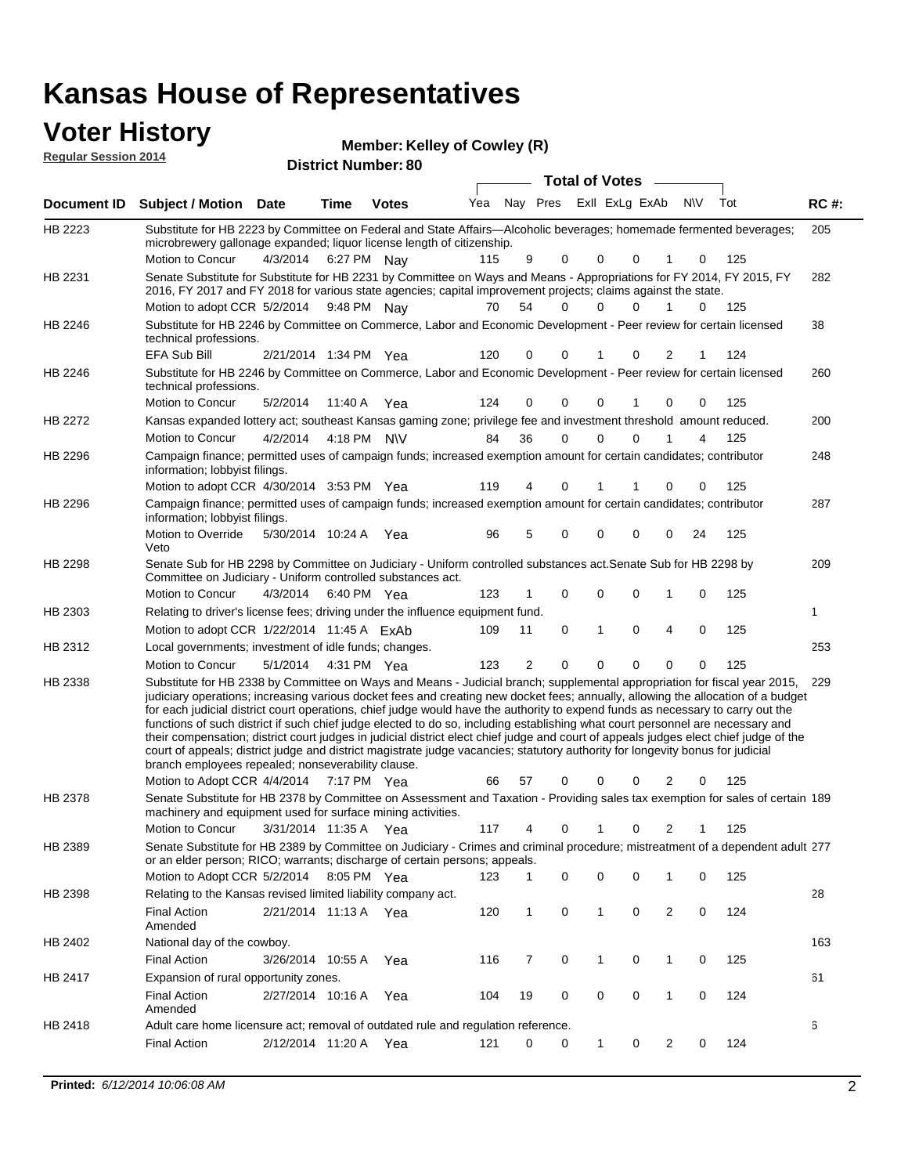### **Voter History**

**District Number: 80 Member: Kelley of Cowley (R) Regular Session 2014**

|                |                                                                                                                                                                                                                                                                                                                                                                                                                                                                                                                                                                                                                                                                                                                                                                                                                                                                                                                 |                       |             |              |                             |              | <b>Total of Votes</b> |              |             |             |     |     |             |
|----------------|-----------------------------------------------------------------------------------------------------------------------------------------------------------------------------------------------------------------------------------------------------------------------------------------------------------------------------------------------------------------------------------------------------------------------------------------------------------------------------------------------------------------------------------------------------------------------------------------------------------------------------------------------------------------------------------------------------------------------------------------------------------------------------------------------------------------------------------------------------------------------------------------------------------------|-----------------------|-------------|--------------|-----------------------------|--------------|-----------------------|--------------|-------------|-------------|-----|-----|-------------|
| Document ID    | <b>Subject / Motion Date</b>                                                                                                                                                                                                                                                                                                                                                                                                                                                                                                                                                                                                                                                                                                                                                                                                                                                                                    |                       | Time        | <b>Votes</b> | Yea Nay Pres ExII ExLg ExAb |              |                       |              |             |             | N\V | Tot | <b>RC#:</b> |
| HB 2223        | Substitute for HB 2223 by Committee on Federal and State Affairs—Alcoholic beverages; homemade fermented beverages;<br>microbrewery gallonage expanded; liquor license length of citizenship.<br>Motion to Concur                                                                                                                                                                                                                                                                                                                                                                                                                                                                                                                                                                                                                                                                                               | 4/3/2014              | 6:27 PM Nay |              | 115                         | 9            | 0                     | 0            | 0           |             | 0   | 125 | 205         |
| HB 2231        | Senate Substitute for Substitute for HB 2231 by Committee on Ways and Means - Appropriations for FY 2014, FY 2015, FY<br>2016, FY 2017 and FY 2018 for various state agencies; capital improvement projects; claims against the state.                                                                                                                                                                                                                                                                                                                                                                                                                                                                                                                                                                                                                                                                          |                       |             |              |                             |              |                       |              |             |             |     |     | 282         |
|                | Motion to adopt CCR 5/2/2014 9:48 PM Nay                                                                                                                                                                                                                                                                                                                                                                                                                                                                                                                                                                                                                                                                                                                                                                                                                                                                        |                       |             |              | 70                          | 54           | 0                     | 0            | 0           | 1           | 0   | 125 |             |
| <b>HB 2246</b> | Substitute for HB 2246 by Committee on Commerce, Labor and Economic Development - Peer review for certain licensed<br>technical professions.                                                                                                                                                                                                                                                                                                                                                                                                                                                                                                                                                                                                                                                                                                                                                                    |                       |             |              |                             |              |                       |              |             |             |     |     | 38          |
|                | EFA Sub Bill                                                                                                                                                                                                                                                                                                                                                                                                                                                                                                                                                                                                                                                                                                                                                                                                                                                                                                    | 2/21/2014 1:34 PM Yea |             |              | 120                         | 0            | 0                     | 1            | 0           | 2           | 1   | 124 |             |
| HB 2246        | Substitute for HB 2246 by Committee on Commerce, Labor and Economic Development - Peer review for certain licensed<br>technical professions.                                                                                                                                                                                                                                                                                                                                                                                                                                                                                                                                                                                                                                                                                                                                                                    |                       |             |              |                             |              |                       |              |             |             |     |     | 260         |
|                | Motion to Concur                                                                                                                                                                                                                                                                                                                                                                                                                                                                                                                                                                                                                                                                                                                                                                                                                                                                                                | 5/2/2014              | 11:40 A     | Yea          | 124                         | 0            | 0                     | 0            |             | 0           | 0   | 125 |             |
| HB 2272        | Kansas expanded lottery act; southeast Kansas gaming zone; privilege fee and investment threshold amount reduced.                                                                                                                                                                                                                                                                                                                                                                                                                                                                                                                                                                                                                                                                                                                                                                                               |                       |             |              |                             |              |                       |              |             |             |     |     | 200         |
|                | Motion to Concur                                                                                                                                                                                                                                                                                                                                                                                                                                                                                                                                                                                                                                                                                                                                                                                                                                                                                                | 4/2/2014              | 4:18 PM N\V |              | 84                          | 36           | 0                     | 0            | $\Omega$    |             | 4   | 125 |             |
| HB 2296        | Campaign finance; permitted uses of campaign funds; increased exemption amount for certain candidates; contributor<br>information; lobbyist filings.                                                                                                                                                                                                                                                                                                                                                                                                                                                                                                                                                                                                                                                                                                                                                            |                       |             |              |                             |              |                       |              |             |             |     |     | 248         |
|                | Motion to adopt CCR 4/30/2014 3:53 PM Yea                                                                                                                                                                                                                                                                                                                                                                                                                                                                                                                                                                                                                                                                                                                                                                                                                                                                       |                       |             |              | 119                         | 4            | 0                     | 1            |             | 0           | 0   | 125 |             |
| HB 2296        | Campaign finance; permitted uses of campaign funds; increased exemption amount for certain candidates; contributor<br>information; lobbyist filings.<br>Motion to Override                                                                                                                                                                                                                                                                                                                                                                                                                                                                                                                                                                                                                                                                                                                                      | 5/30/2014 10:24 A Yea |             |              | 96                          | 5            | 0                     | 0            | 0           | 0           | 24  | 125 | 287         |
| <b>HB 2298</b> | Veto<br>Senate Sub for HB 2298 by Committee on Judiciary - Uniform controlled substances act. Senate Sub for HB 2298 by                                                                                                                                                                                                                                                                                                                                                                                                                                                                                                                                                                                                                                                                                                                                                                                         |                       |             |              |                             |              |                       |              |             |             |     |     | 209         |
|                | Committee on Judiciary - Uniform controlled substances act.<br>Motion to Concur                                                                                                                                                                                                                                                                                                                                                                                                                                                                                                                                                                                                                                                                                                                                                                                                                                 | 4/3/2014              | 6:40 PM Yea |              | 123                         | $\mathbf{1}$ | 0                     | 0            | $\mathbf 0$ | 1           | 0   | 125 |             |
| HB 2303        | Relating to driver's license fees; driving under the influence equipment fund.                                                                                                                                                                                                                                                                                                                                                                                                                                                                                                                                                                                                                                                                                                                                                                                                                                  |                       |             |              |                             |              |                       |              |             |             |     |     | 1           |
|                | Motion to adopt CCR 1/22/2014 11:45 A ExAb                                                                                                                                                                                                                                                                                                                                                                                                                                                                                                                                                                                                                                                                                                                                                                                                                                                                      |                       |             |              |                             |              | 0                     | 1            | 0           | 4           | 0   | 125 |             |
|                |                                                                                                                                                                                                                                                                                                                                                                                                                                                                                                                                                                                                                                                                                                                                                                                                                                                                                                                 |                       |             |              | 109                         | 11           |                       |              |             |             |     |     |             |
| HB 2312        | Local governments; investment of idle funds; changes.                                                                                                                                                                                                                                                                                                                                                                                                                                                                                                                                                                                                                                                                                                                                                                                                                                                           |                       |             |              |                             |              |                       |              |             |             |     |     | 253         |
|                | Motion to Concur                                                                                                                                                                                                                                                                                                                                                                                                                                                                                                                                                                                                                                                                                                                                                                                                                                                                                                | 5/1/2014              | 4:31 PM Yea |              | 123                         | 2            | 0                     | 0            | 0           | $\mathbf 0$ | 0   | 125 |             |
| HB 2338        | Substitute for HB 2338 by Committee on Ways and Means - Judicial branch; supplemental appropriation for fiscal year 2015,<br>judiciary operations; increasing various docket fees and creating new docket fees; annually, allowing the allocation of a budget<br>for each judicial district court operations, chief judge would have the authority to expend funds as necessary to carry out the<br>functions of such district if such chief judge elected to do so, including establishing what court personnel are necessary and<br>their compensation; district court judges in judicial district elect chief judge and court of appeals judges elect chief judge of the<br>court of appeals; district judge and district magistrate judge vacancies; statutory authority for longevity bonus for judicial<br>branch employees repealed; nonseverability clause.<br>Motion to Adopt CCR 4/4/2014 7:17 PM Yea |                       |             |              | 66                          | 57           | 0                     | 0            | 0           | 2           | 0   | 125 | 229         |
| HB 2378        | Senate Substitute for HB 2378 by Committee on Assessment and Taxation - Providing sales tax exemption for sales of certain 189                                                                                                                                                                                                                                                                                                                                                                                                                                                                                                                                                                                                                                                                                                                                                                                  |                       |             |              |                             |              |                       |              |             |             |     |     |             |
|                | machinery and equipment used for surface mining activities.<br>Motion to Concur                                                                                                                                                                                                                                                                                                                                                                                                                                                                                                                                                                                                                                                                                                                                                                                                                                 | 3/31/2014 11:35 A     |             | Yea          | 117                         | 4            | 0                     | 1            | 0           | 2           | 1   | 125 |             |
| HB 2389        | Senate Substitute for HB 2389 by Committee on Judiciary - Crimes and criminal procedure; mistreatment of a dependent adult 277<br>or an elder person; RICO; warrants; discharge of certain persons; appeals.                                                                                                                                                                                                                                                                                                                                                                                                                                                                                                                                                                                                                                                                                                    |                       |             |              |                             |              |                       |              |             |             |     |     |             |
|                | Motion to Adopt CCR 5/2/2014                                                                                                                                                                                                                                                                                                                                                                                                                                                                                                                                                                                                                                                                                                                                                                                                                                                                                    |                       | 8:05 PM Yea |              | 123                         | $\mathbf{1}$ | 0                     | 0            | 0           | 1           | 0   | 125 |             |
| HB 2398        | Relating to the Kansas revised limited liability company act.                                                                                                                                                                                                                                                                                                                                                                                                                                                                                                                                                                                                                                                                                                                                                                                                                                                   |                       |             |              |                             |              |                       |              |             |             |     |     | 28          |
|                | <b>Final Action</b><br>Amended                                                                                                                                                                                                                                                                                                                                                                                                                                                                                                                                                                                                                                                                                                                                                                                                                                                                                  | 2/21/2014 11:13 A Yea |             |              | 120                         | 1            | 0                     | $\mathbf{1}$ | 0           | 2           | 0   | 124 |             |
| HB 2402        | National day of the cowboy.                                                                                                                                                                                                                                                                                                                                                                                                                                                                                                                                                                                                                                                                                                                                                                                                                                                                                     |                       |             |              |                             |              |                       |              |             |             |     |     | 163         |
|                | <b>Final Action</b>                                                                                                                                                                                                                                                                                                                                                                                                                                                                                                                                                                                                                                                                                                                                                                                                                                                                                             | 3/26/2014 10:55 A     |             | Yea          | 116                         | 7            | 0                     | 1            | 0           | 1           | 0   | 125 |             |
| HB 2417        | Expansion of rural opportunity zones.                                                                                                                                                                                                                                                                                                                                                                                                                                                                                                                                                                                                                                                                                                                                                                                                                                                                           |                       |             |              |                             |              |                       |              |             |             |     |     | 61          |
|                | <b>Final Action</b><br>Amended                                                                                                                                                                                                                                                                                                                                                                                                                                                                                                                                                                                                                                                                                                                                                                                                                                                                                  | 2/27/2014 10:16 A     |             | Yea          | 104                         | 19           | 0                     | 0            | 0           | 1           | 0   | 124 |             |
| HB 2418        | Adult care home licensure act; removal of outdated rule and regulation reference.                                                                                                                                                                                                                                                                                                                                                                                                                                                                                                                                                                                                                                                                                                                                                                                                                               |                       |             |              |                             |              |                       |              |             |             |     |     | 6           |
|                | <b>Final Action</b>                                                                                                                                                                                                                                                                                                                                                                                                                                                                                                                                                                                                                                                                                                                                                                                                                                                                                             | 2/12/2014 11:20 A Yea |             |              | 121                         | 0            | 0                     | 1            | 0           | 2           | 0   | 124 |             |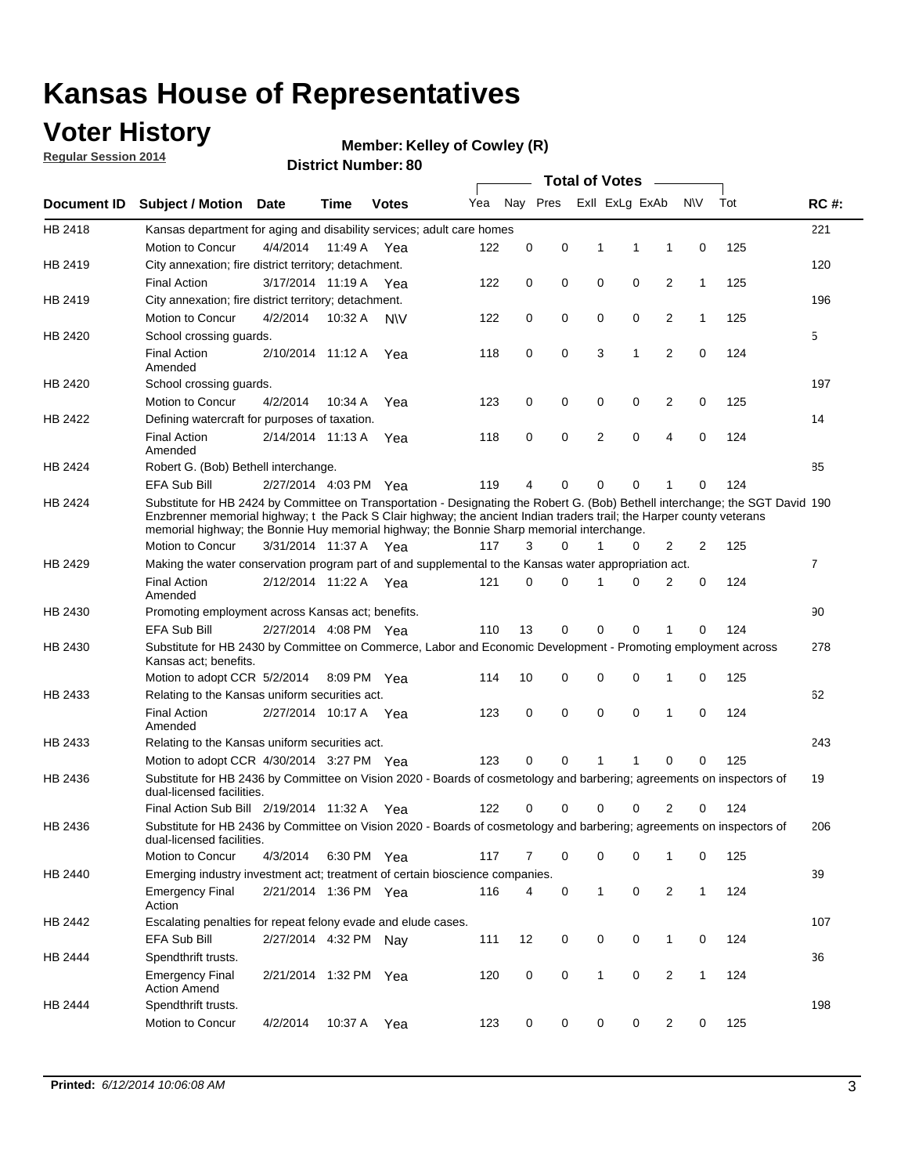### **Voter History**

**Regular Session 2014**

#### **Member: Kelley of Cowley (R)**

|                    |                                                                                                                                                                                                                                                                                                                                                      |                       |             | DISTRICT MAILINGL. ON |     |                |             | <b>Total of Votes</b> |                |                |              |     |             |
|--------------------|------------------------------------------------------------------------------------------------------------------------------------------------------------------------------------------------------------------------------------------------------------------------------------------------------------------------------------------------------|-----------------------|-------------|-----------------------|-----|----------------|-------------|-----------------------|----------------|----------------|--------------|-----|-------------|
| <b>Document ID</b> | <b>Subject / Motion</b>                                                                                                                                                                                                                                                                                                                              | <b>Date</b>           | Time        | <b>Votes</b>          | Yea | Nay Pres       |             |                       | Exll ExLg ExAb |                | <b>NV</b>    | Tot | <b>RC#:</b> |
| HB 2418            | Kansas department for aging and disability services; adult care homes                                                                                                                                                                                                                                                                                |                       |             |                       |     |                |             |                       |                |                |              |     | 221         |
|                    | Motion to Concur                                                                                                                                                                                                                                                                                                                                     | 4/4/2014              | 11:49 A     | Yea                   | 122 | 0              | $\mathbf 0$ | 1                     | 1              | 1              | $\mathbf 0$  | 125 |             |
| HB 2419            | City annexation; fire district territory; detachment.                                                                                                                                                                                                                                                                                                |                       |             |                       |     |                |             |                       |                |                |              |     | 120         |
|                    | <b>Final Action</b>                                                                                                                                                                                                                                                                                                                                  | 3/17/2014 11:19 A     |             | Yea                   | 122 | 0              | 0           | $\mathbf 0$           | $\mathbf 0$    | 2              | 1            | 125 |             |
| HB 2419            | City annexation; fire district territory; detachment.                                                                                                                                                                                                                                                                                                |                       |             |                       |     |                |             |                       |                |                |              |     | 196         |
|                    | Motion to Concur                                                                                                                                                                                                                                                                                                                                     | 4/2/2014              | 10:32 A     | N\V                   | 122 | 0              | 0           | $\mathbf 0$           | $\mathbf 0$    | 2              | 1            | 125 |             |
| HB 2420            | School crossing quards.                                                                                                                                                                                                                                                                                                                              |                       |             |                       |     |                |             |                       |                |                |              |     | 5           |
|                    | <b>Final Action</b><br>Amended                                                                                                                                                                                                                                                                                                                       | 2/10/2014 11:12 A     |             | Yea                   | 118 | 0              | $\mathbf 0$ | 3                     | 1              | 2              | $\mathbf 0$  | 124 |             |
| HB 2420            | School crossing guards.                                                                                                                                                                                                                                                                                                                              |                       |             |                       |     |                |             |                       |                |                |              |     | 197         |
|                    | Motion to Concur                                                                                                                                                                                                                                                                                                                                     | 4/2/2014              | 10:34 A     | Yea                   | 123 | 0              | 0           | 0                     | 0              | 2              | 0            | 125 |             |
| HB 2422            | Defining watercraft for purposes of taxation.                                                                                                                                                                                                                                                                                                        |                       |             |                       |     |                |             |                       |                |                |              |     | 14          |
|                    | <b>Final Action</b><br>Amended                                                                                                                                                                                                                                                                                                                       | 2/14/2014 11:13 A     |             | Yea                   | 118 | 0              | $\mathbf 0$ | 2                     | 0              | 4              | $\mathbf 0$  | 124 |             |
| HB 2424            | Robert G. (Bob) Bethell interchange.                                                                                                                                                                                                                                                                                                                 |                       |             |                       |     |                |             |                       |                |                |              |     | 85          |
|                    | <b>EFA Sub Bill</b>                                                                                                                                                                                                                                                                                                                                  | 2/27/2014 4:03 PM Yea |             |                       | 119 | 4              | 0           | 0                     | $\mathbf 0$    | 1              | $\Omega$     | 124 |             |
| HB 2424            | Substitute for HB 2424 by Committee on Transportation - Designating the Robert G. (Bob) Bethell interchange; the SGT David 190<br>Enzbrenner memorial highway; t the Pack S Clair highway; the ancient Indian traders trail; the Harper county veterans<br>memorial highway; the Bonnie Huy memorial highway; the Bonnie Sharp memorial interchange. |                       |             |                       |     |                |             |                       |                |                |              |     |             |
|                    | Motion to Concur                                                                                                                                                                                                                                                                                                                                     | 3/31/2014 11:37 A Yea |             |                       | 117 | 3              | 0           | 1                     | 0              | 2              | 2            | 125 |             |
| HB 2429            | Making the water conservation program part of and supplemental to the Kansas water appropriation act.                                                                                                                                                                                                                                                |                       |             |                       |     |                |             |                       |                |                |              |     | 7           |
|                    | <b>Final Action</b><br>Amended                                                                                                                                                                                                                                                                                                                       | 2/12/2014 11:22 A Yea |             |                       | 121 | $\Omega$       | 0           | 1                     | $\Omega$       | 2              | $\mathbf 0$  | 124 |             |
| HB 2430            | Promoting employment across Kansas act; benefits.                                                                                                                                                                                                                                                                                                    |                       |             |                       |     |                |             |                       |                |                |              |     | 90          |
|                    | <b>EFA Sub Bill</b>                                                                                                                                                                                                                                                                                                                                  | 2/27/2014 4:08 PM Yea |             |                       | 110 | 13             | 0           | $\mathbf 0$           | $\mathbf 0$    | 1              | 0            | 124 |             |
| HB 2430            | Substitute for HB 2430 by Committee on Commerce, Labor and Economic Development - Promoting employment across<br>Kansas act; benefits.                                                                                                                                                                                                               |                       |             |                       |     |                |             |                       |                |                |              |     | 278         |
|                    | Motion to adopt CCR 5/2/2014                                                                                                                                                                                                                                                                                                                         |                       | 8:09 PM Yea |                       | 114 | 10             | 0           | 0                     | $\mathbf 0$    | 1              | 0            | 125 |             |
| HB 2433            | Relating to the Kansas uniform securities act.                                                                                                                                                                                                                                                                                                       |                       |             |                       |     |                |             |                       |                |                |              |     | 62          |
|                    | <b>Final Action</b><br>Amended                                                                                                                                                                                                                                                                                                                       | 2/27/2014 10:17 A Yea |             |                       | 123 | 0              | 0           | 0                     | $\mathbf 0$    | 1              | 0            | 124 |             |
| HB 2433            | Relating to the Kansas uniform securities act.                                                                                                                                                                                                                                                                                                       |                       |             |                       |     |                |             |                       |                |                |              |     | 243         |
|                    | Motion to adopt CCR 4/30/2014 3:27 PM Yea                                                                                                                                                                                                                                                                                                            |                       |             |                       | 123 | $\Omega$       | $\Omega$    | 1                     | 1              | $\Omega$       | 0            | 125 |             |
| HB 2436            | Substitute for HB 2436 by Committee on Vision 2020 - Boards of cosmetology and barbering; agreements on inspectors of<br>dual-licensed facilities.                                                                                                                                                                                                   |                       |             |                       |     |                |             |                       |                |                |              |     | 19          |
|                    | Final Action Sub Bill 2/19/2014 11:32 A Yea                                                                                                                                                                                                                                                                                                          |                       |             |                       | 122 |                | 0           | ი                     | 0              | 2              | 0            | 124 |             |
| HB 2436            | Substitute for HB 2436 by Committee on Vision 2020 - Boards of cosmetology and barbering; agreements on inspectors of<br>dual-licensed facilities.                                                                                                                                                                                                   |                       |             |                       |     |                |             |                       |                |                |              |     | 206         |
|                    | Motion to Concur                                                                                                                                                                                                                                                                                                                                     | 4/3/2014              | 6:30 PM Yea |                       | 117 | $\overline{7}$ | 0           | 0                     | 0              | $\mathbf{1}$   | 0            | 125 |             |
| HB 2440            | Emerging industry investment act; treatment of certain bioscience companies.                                                                                                                                                                                                                                                                         |                       |             |                       |     |                |             |                       |                |                |              |     | 39          |
|                    | <b>Emergency Final</b><br>Action                                                                                                                                                                                                                                                                                                                     | 2/21/2014 1:36 PM Yea |             |                       | 116 | 4              | 0           | $\mathbf{1}$          | $\pmb{0}$      | $\overline{2}$ | $\mathbf{1}$ | 124 |             |
| HB 2442            | Escalating penalties for repeat felony evade and elude cases.                                                                                                                                                                                                                                                                                        |                       |             |                       |     |                |             |                       |                |                |              |     | 107         |
|                    | EFA Sub Bill                                                                                                                                                                                                                                                                                                                                         | 2/27/2014 4:32 PM Nav |             |                       | 111 | 12             | 0           | 0                     | 0              | $\mathbf{1}$   | 0            | 124 |             |
| HB 2444            | Spendthrift trusts.                                                                                                                                                                                                                                                                                                                                  |                       |             |                       |     |                |             |                       |                |                |              |     | 36          |
|                    | <b>Emergency Final</b><br><b>Action Amend</b>                                                                                                                                                                                                                                                                                                        | 2/21/2014 1:32 PM Yea |             |                       | 120 | 0              | 0           | $\mathbf{1}$          | 0              | 2              | $\mathbf{1}$ | 124 |             |
| HB 2444            | Spendthrift trusts.                                                                                                                                                                                                                                                                                                                                  |                       |             |                       |     |                |             |                       |                |                |              |     | 198         |
|                    | Motion to Concur                                                                                                                                                                                                                                                                                                                                     | 4/2/2014              | 10:37 A Yea |                       | 123 | 0              | 0           | 0                     | 0              | 2              | 0            | 125 |             |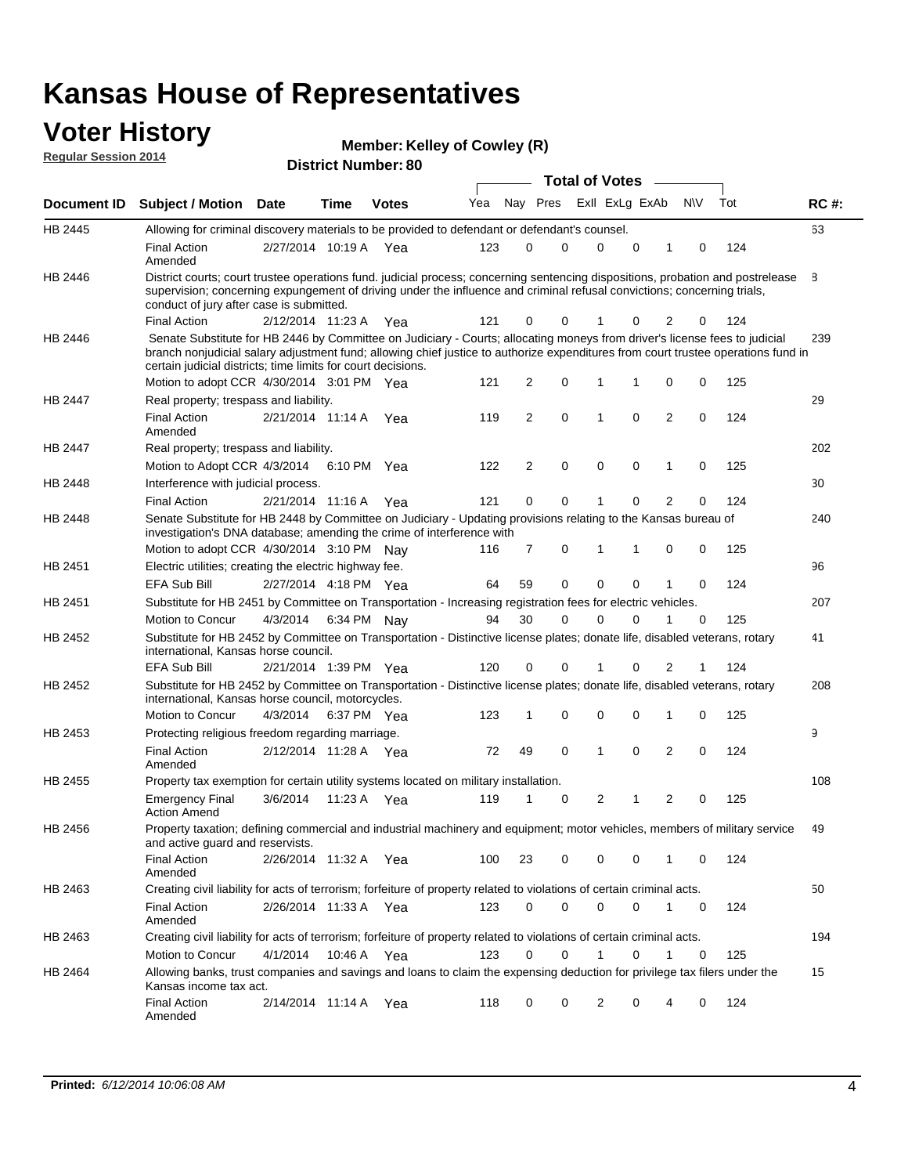#### **Voter History Regular Session 2014**

| <b>Member: Kelley of Cowley (R)</b> |  |  |  |
|-------------------------------------|--|--|--|
|-------------------------------------|--|--|--|

| <b>District Number: 80</b> |  |
|----------------------------|--|
|                            |  |

|         |                                                                                                                                                                                                                                                                                                                                 |                       |      |             |     |                |          | <b>Total of Votes</b> |             |                |           |     |             |
|---------|---------------------------------------------------------------------------------------------------------------------------------------------------------------------------------------------------------------------------------------------------------------------------------------------------------------------------------|-----------------------|------|-------------|-----|----------------|----------|-----------------------|-------------|----------------|-----------|-----|-------------|
|         | Document ID Subject / Motion Date                                                                                                                                                                                                                                                                                               |                       | Time | Votes       | Yea |                | Nay Pres | Exll ExLg ExAb        |             |                | <b>NV</b> | Tot | <b>RC#:</b> |
| HB 2445 | Allowing for criminal discovery materials to be provided to defendant or defendant's counsel.                                                                                                                                                                                                                                   |                       |      |             |     |                |          |                       |             |                |           |     | 63          |
|         | <b>Final Action</b><br>Amended                                                                                                                                                                                                                                                                                                  | 2/27/2014 10:19 A Yea |      |             | 123 | 0              | 0        | 0                     | 0           | 1              | 0         | 124 |             |
| HB 2446 | District courts; court trustee operations fund. judicial process; concerning sentencing dispositions, probation and postrelease<br>supervision; concerning expungement of driving under the influence and criminal refusal convictions; concerning trials,<br>conduct of jury after case is submitted.                          |                       |      |             |     |                |          |                       |             |                |           |     | 8           |
|         | <b>Final Action</b>                                                                                                                                                                                                                                                                                                             | 2/12/2014 11:23 A Yea |      |             | 121 | 0              | 0        |                       | 0           | 2              | 0         | 124 |             |
| HB 2446 | Senate Substitute for HB 2446 by Committee on Judiciary - Courts; allocating moneys from driver's license fees to judicial<br>branch nonjudicial salary adjustment fund; allowing chief justice to authorize expenditures from court trustee operations fund in<br>certain judicial districts; time limits for court decisions. |                       |      |             |     |                |          |                       |             |                |           |     | 239         |
|         | Motion to adopt CCR 4/30/2014 3:01 PM Yea                                                                                                                                                                                                                                                                                       |                       |      |             | 121 | 2              | 0        | 1                     | 1           | 0              | 0         | 125 |             |
| HB 2447 | Real property; trespass and liability.                                                                                                                                                                                                                                                                                          |                       |      |             |     |                |          |                       |             |                |           |     | 29          |
|         | <b>Final Action</b><br>Amended                                                                                                                                                                                                                                                                                                  | 2/21/2014 11:14 A Yea |      |             | 119 | $\overline{2}$ | 0        | $\mathbf{1}$          | $\mathbf 0$ | $\overline{2}$ | 0         | 124 |             |
| HB 2447 | Real property; trespass and liability.                                                                                                                                                                                                                                                                                          |                       |      |             |     |                |          |                       |             |                |           |     | 202         |
|         | Motion to Adopt CCR 4/3/2014                                                                                                                                                                                                                                                                                                    |                       |      | 6:10 PM Yea | 122 | $\overline{2}$ | 0        | 0                     | $\mathbf 0$ | 1              | 0         | 125 |             |
| HB 2448 | Interference with judicial process.                                                                                                                                                                                                                                                                                             |                       |      |             |     |                |          |                       |             |                |           |     | 30          |
|         | <b>Final Action</b>                                                                                                                                                                                                                                                                                                             | 2/21/2014 11:16 A Yea |      |             | 121 | 0              | 0        | $\mathbf{1}$          | $\mathbf 0$ | $\overline{2}$ | 0         | 124 |             |
| HB 2448 | Senate Substitute for HB 2448 by Committee on Judiciary - Updating provisions relating to the Kansas bureau of<br>investigation's DNA database; amending the crime of interference with                                                                                                                                         |                       |      |             |     |                |          |                       |             |                |           |     | 240         |
|         | Motion to adopt CCR 4/30/2014 3:10 PM Nav                                                                                                                                                                                                                                                                                       |                       |      |             | 116 | 7              | 0        | $\mathbf{1}$          | 1           | 0              | 0         | 125 |             |
| HB 2451 | Electric utilities; creating the electric highway fee.                                                                                                                                                                                                                                                                          |                       |      |             |     |                |          |                       |             |                |           |     | 96          |
|         | <b>EFA Sub Bill</b>                                                                                                                                                                                                                                                                                                             | 2/27/2014 4:18 PM Yea |      |             | 64  | 59             | 0        | 0                     | $\mathbf 0$ | 1              | 0         | 124 |             |
| HB 2451 | Substitute for HB 2451 by Committee on Transportation - Increasing registration fees for electric vehicles.                                                                                                                                                                                                                     |                       |      |             |     |                |          |                       |             |                |           |     | 207         |
|         | Motion to Concur                                                                                                                                                                                                                                                                                                                | 4/3/2014              |      | 6:34 PM Nay | 94  | 30             | 0        | $\Omega$              | $\mathbf 0$ | 1              | 0         | 125 |             |
| HB 2452 | Substitute for HB 2452 by Committee on Transportation - Distinctive license plates; donate life, disabled veterans, rotary<br>international, Kansas horse council.                                                                                                                                                              |                       |      |             |     |                |          |                       |             |                |           |     | 41          |
|         | <b>EFA Sub Bill</b>                                                                                                                                                                                                                                                                                                             | 2/21/2014 1:39 PM Yea |      |             | 120 | 0              | 0        |                       | 0           | $\overline{2}$ | 1         | 124 |             |
| HB 2452 | Substitute for HB 2452 by Committee on Transportation - Distinctive license plates; donate life, disabled veterans, rotary<br>international, Kansas horse council, motorcycles.                                                                                                                                                 |                       |      |             |     |                |          |                       |             |                |           |     | 208         |
|         | Motion to Concur                                                                                                                                                                                                                                                                                                                | 4/3/2014              |      | 6:37 PM Yea | 123 | 1              | 0        | 0                     | $\mathbf 0$ | 1              | 0         | 125 |             |
| HB 2453 | Protecting religious freedom regarding marriage.                                                                                                                                                                                                                                                                                |                       |      |             |     |                |          |                       |             |                |           |     | 9           |
|         | <b>Final Action</b><br>Amended                                                                                                                                                                                                                                                                                                  | 2/12/2014 11:28 A Yea |      |             | 72  | 49             | 0        | $\mathbf{1}$          | $\mathbf 0$ | $\overline{2}$ | 0         | 124 |             |
| HB 2455 | Property tax exemption for certain utility systems located on military installation.                                                                                                                                                                                                                                            |                       |      |             |     |                |          |                       |             |                |           |     | 108         |
|         | <b>Emergency Final</b><br><b>Action Amend</b>                                                                                                                                                                                                                                                                                   | 3/6/2014              |      | 11:23 A Yea | 119 | 1              | 0        | 2                     | 1           | 2              | 0         | 125 |             |
| HB 2456 | Property taxation; defining commercial and industrial machinery and equipment; motor vehicles, members of military service<br>and active guard and reservists.                                                                                                                                                                  |                       |      |             |     |                |          |                       |             |                |           |     | 49          |
|         | <b>Final Action</b><br>Amended                                                                                                                                                                                                                                                                                                  | 2/26/2014 11:32 A Yea |      |             | 100 | 23             | 0        | 0                     | 0           |                | 0         | 124 |             |
| HB 2463 | Creating civil liability for acts of terrorism; forfeiture of property related to violations of certain criminal acts.                                                                                                                                                                                                          |                       |      |             |     |                |          |                       |             |                |           |     | 50          |
|         | <b>Final Action</b><br>Amended                                                                                                                                                                                                                                                                                                  | 2/26/2014 11:33 A Yea |      |             | 123 | 0              | 0        | 0                     | 0           | $\mathbf{1}$   | 0         | 124 |             |
| HB 2463 | Creating civil liability for acts of terrorism; forfeiture of property related to violations of certain criminal acts.                                                                                                                                                                                                          |                       |      |             |     |                |          |                       |             |                |           |     | 194         |
|         | Motion to Concur                                                                                                                                                                                                                                                                                                                | 4/1/2014              |      | 10:46 A Yea | 123 | 0              | 0        | $\mathbf{1}$          | 0           | 1              | 0         | 125 |             |
| HB 2464 | Allowing banks, trust companies and savings and loans to claim the expensing deduction for privilege tax filers under the<br>Kansas income tax act.                                                                                                                                                                             |                       |      |             |     |                |          |                       |             |                |           |     | 15          |
|         | <b>Final Action</b><br>Amended                                                                                                                                                                                                                                                                                                  | 2/14/2014 11:14 A Yea |      |             | 118 | 0              | 0        | 2                     | 0           | 4              | 0         | 124 |             |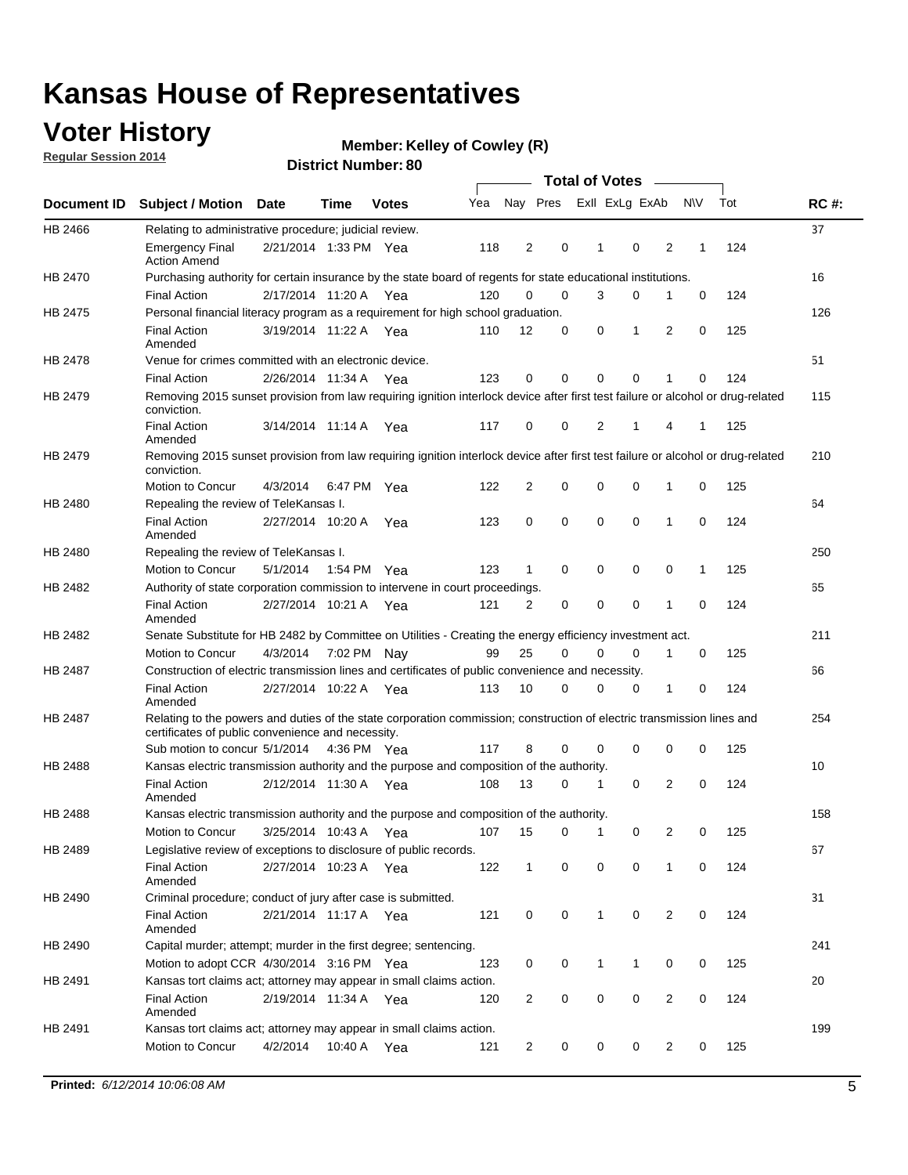### **Voter History**

**Regular Session 2014**

#### **Member: Kelley of Cowley (R)**

|                |                                                                                                                                                                             |                       |      |              |     |                |             | <b>Total of Votes</b> |             |                |             |     |             |
|----------------|-----------------------------------------------------------------------------------------------------------------------------------------------------------------------------|-----------------------|------|--------------|-----|----------------|-------------|-----------------------|-------------|----------------|-------------|-----|-------------|
|                | Document ID Subject / Motion Date                                                                                                                                           |                       | Time | <b>Votes</b> | Yea |                | Nay Pres    | Exll ExLg ExAb        |             |                | N\V         | Tot | <b>RC#:</b> |
| HB 2466        | Relating to administrative procedure; judicial review.                                                                                                                      |                       |      |              |     |                |             |                       |             |                |             |     | 37          |
|                | <b>Emergency Final</b><br><b>Action Amend</b>                                                                                                                               | 2/21/2014 1:33 PM Yea |      |              | 118 | 2              | 0           | 1                     | 0           | 2              | 1           | 124 |             |
| HB 2470        | Purchasing authority for certain insurance by the state board of regents for state educational institutions.                                                                |                       |      |              |     |                |             |                       |             |                |             |     | 16          |
|                | <b>Final Action</b>                                                                                                                                                         | 2/17/2014 11:20 A Yea |      |              | 120 | 0              | 0           | 3                     | $\mathbf 0$ | 1              | 0           | 124 |             |
| HB 2475        | Personal financial literacy program as a requirement for high school graduation.                                                                                            |                       |      |              |     |                |             |                       |             |                |             |     | 126         |
|                | <b>Final Action</b><br>Amended                                                                                                                                              | 3/19/2014 11:22 A Yea |      |              | 110 | 12             | 0           | 0                     | 1           | 2              | 0           | 125 |             |
| HB 2478        | Venue for crimes committed with an electronic device.                                                                                                                       |                       |      |              |     |                |             |                       |             |                |             |     | 51          |
|                | <b>Final Action</b>                                                                                                                                                         | 2/26/2014 11:34 A     |      | Yea          | 123 | 0              | 0           | $\Omega$              | $\mathbf 0$ | 1              | 0           | 124 |             |
| HB 2479        | Removing 2015 sunset provision from law requiring ignition interlock device after first test failure or alcohol or drug-related<br>conviction.                              |                       |      |              |     |                |             |                       |             |                |             |     | 115         |
|                | <b>Final Action</b><br>Amended                                                                                                                                              | 3/14/2014 11:14 A     |      | Yea          | 117 | 0              | 0           | 2                     | 1           | 4              | 1           | 125 |             |
| HB 2479        | Removing 2015 sunset provision from law requiring ignition interlock device after first test failure or alcohol or drug-related<br>conviction.                              |                       |      |              |     |                |             |                       |             |                |             |     | 210         |
|                | Motion to Concur                                                                                                                                                            | 4/3/2014              |      | 6:47 PM Yea  | 122 | $\overline{2}$ | 0           | 0                     | $\mathbf 0$ | 1              | 0           | 125 |             |
| HB 2480        | Repealing the review of TeleKansas I.                                                                                                                                       |                       |      |              |     |                |             |                       |             |                |             |     | 64          |
|                | <b>Final Action</b><br>Amended                                                                                                                                              | 2/27/2014 10:20 A     |      | Yea          | 123 | 0              | 0           | $\mathbf 0$           | $\mathbf 0$ | 1              | 0           | 124 |             |
| HB 2480        | Repealing the review of TeleKansas I.                                                                                                                                       |                       |      |              |     |                |             |                       |             |                |             |     | 250         |
|                | Motion to Concur                                                                                                                                                            | 5/1/2014              |      | 1:54 PM Yea  | 123 | 1              | 0           | 0                     | 0           | 0              | 1           | 125 |             |
| HB 2482        | Authority of state corporation commission to intervene in court proceedings.                                                                                                |                       |      |              |     |                |             |                       |             |                |             |     | 65          |
|                | <b>Final Action</b><br>Amended                                                                                                                                              | 2/27/2014 10:21 A     |      | Yea          | 121 | 2              | 0           | 0                     | 0           | 1              | 0           | 124 |             |
| HB 2482        | Senate Substitute for HB 2482 by Committee on Utilities - Creating the energy efficiency investment act.                                                                    |                       |      |              |     |                |             |                       |             |                |             |     | 211         |
|                | Motion to Concur                                                                                                                                                            | 4/3/2014 7:02 PM Nay  |      |              | 99  | 25             | 0           | 0                     | $\mathbf 0$ | 1              | 0           | 125 |             |
| HB 2487        | Construction of electric transmission lines and certificates of public convenience and necessity.                                                                           |                       |      |              |     |                |             |                       |             |                |             |     | 66          |
|                | <b>Final Action</b><br>Amended                                                                                                                                              | 2/27/2014 10:22 A Yea |      |              | 113 | 10             | 0           | 0                     | 0           | 1              | 0           | 124 |             |
| HB 2487        | Relating to the powers and duties of the state corporation commission; construction of electric transmission lines and<br>certificates of public convenience and necessity. |                       |      |              |     |                |             |                       |             |                |             |     | 254         |
|                | Sub motion to concur 5/1/2014                                                                                                                                               |                       |      | 4:36 PM Yea  | 117 | 8              | 0           | 0                     | 0           | 0              | 0           | 125 |             |
| <b>HB 2488</b> | Kansas electric transmission authority and the purpose and composition of the authority.                                                                                    |                       |      |              |     |                |             |                       |             |                |             |     | 10          |
|                | <b>Final Action</b><br>Amended                                                                                                                                              | 2/12/2014 11:30 A     |      | Yea          | 108 | 13             | 0           | 1                     | 0           | 2              | 0           | 124 |             |
| HB 2488        | Kansas electric transmission authority and the purpose and composition of the authority.                                                                                    |                       |      |              |     |                |             |                       |             |                |             |     | 158         |
|                | Motion to Concur                                                                                                                                                            | 3/25/2014 10:43 A     |      | Yea          | 107 | 15             | 0           | 1                     | 0           | 2              | 0           | 125 |             |
| HB 2489        | Legislative review of exceptions to disclosure of public records.                                                                                                           |                       |      |              |     |                |             |                       |             |                |             |     | 67          |
|                | <b>Final Action</b><br>Amended                                                                                                                                              | 2/27/2014 10:23 A Yea |      |              | 122 | $\mathbf 1$    | 0           | 0                     | 0           | 1              | 0           | 124 |             |
| HB 2490        | Criminal procedure; conduct of jury after case is submitted.                                                                                                                |                       |      |              |     |                |             |                       |             |                |             |     | 31          |
|                | <b>Final Action</b><br>Amended                                                                                                                                              | 2/21/2014 11:17 A Yea |      |              | 121 | 0              | 0           | $\mathbf{1}$          | 0           | 2              | $\mathbf 0$ | 124 |             |
| HB 2490        | Capital murder; attempt; murder in the first degree; sentencing.                                                                                                            |                       |      |              |     |                |             |                       |             |                |             |     | 241         |
|                | Motion to adopt CCR 4/30/2014 3:16 PM Yea                                                                                                                                   |                       |      |              | 123 | 0              | 0           | $\mathbf{1}$          | 1           | 0              | 0           | 125 |             |
| HB 2491        | Kansas tort claims act; attorney may appear in small claims action.                                                                                                         |                       |      |              |     |                |             |                       |             |                |             |     | 20          |
|                | <b>Final Action</b><br>Amended                                                                                                                                              | 2/19/2014 11:34 A Yea |      |              | 120 | $\overline{2}$ | 0           | 0                     | 0           | $\overline{2}$ | 0           | 124 |             |
| HB 2491        | Kansas tort claims act; attorney may appear in small claims action.                                                                                                         |                       |      |              |     |                |             |                       |             |                |             |     | 199         |
|                | Motion to Concur                                                                                                                                                            | 4/2/2014              |      | 10:40 A Yea  | 121 | 2              | $\mathbf 0$ | 0                     | 0           | 2              | 0           | 125 |             |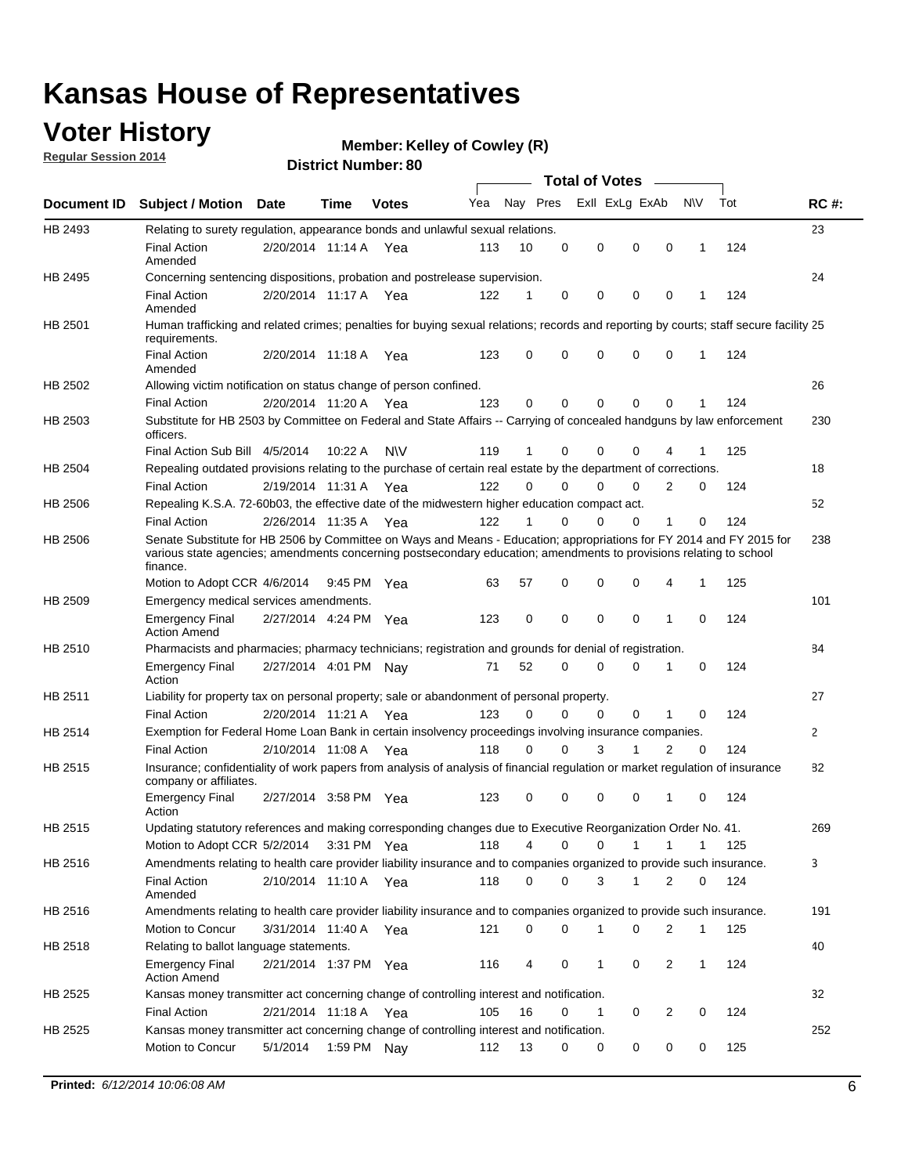### **Voter History**

**Regular Session 2014**

#### **Member: Kelley of Cowley (R)**

|             |                                                                                                                                                                                                                                                        |                       |             | וסושעו ואמוווטפו | <b>Total of Votes</b> |              |          |             |                         |                |              |     |             |
|-------------|--------------------------------------------------------------------------------------------------------------------------------------------------------------------------------------------------------------------------------------------------------|-----------------------|-------------|------------------|-----------------------|--------------|----------|-------------|-------------------------|----------------|--------------|-----|-------------|
| Document ID | <b>Subject / Motion Date</b>                                                                                                                                                                                                                           |                       | Time        | <b>Votes</b>     | Yea                   |              |          |             | Nay Pres Exll ExLg ExAb |                | <b>NV</b>    | Tot | <b>RC#:</b> |
| HB 2493     | Relating to surety regulation, appearance bonds and unlawful sexual relations.                                                                                                                                                                         |                       |             |                  |                       |              |          |             |                         |                |              |     | 23          |
|             | <b>Final Action</b><br>Amended                                                                                                                                                                                                                         | 2/20/2014 11:14 A Yea |             |                  | 113                   | 10           | 0        | $\mathbf 0$ | 0                       | $\mathbf 0$    | $\mathbf 1$  | 124 |             |
| HB 2495     | Concerning sentencing dispositions, probation and postrelease supervision.                                                                                                                                                                             |                       |             |                  |                       |              |          |             |                         |                |              |     | 24          |
|             | <b>Final Action</b><br>Amended                                                                                                                                                                                                                         | 2/20/2014 11:17 A     |             | Yea              | 122                   | 1            | 0        | 0           | $\mathbf 0$             | 0              | -1           | 124 |             |
| HB 2501     | Human trafficking and related crimes; penalties for buying sexual relations; records and reporting by courts; staff secure facility 25<br>requirements.                                                                                                |                       |             |                  |                       |              |          |             |                         |                |              |     |             |
|             | <b>Final Action</b><br>Amended                                                                                                                                                                                                                         | 2/20/2014 11:18 A Yea |             |                  | 123                   | 0            | 0        | 0           | $\Omega$                | $\mathbf 0$    | $\mathbf{1}$ | 124 |             |
| HB 2502     | Allowing victim notification on status change of person confined.                                                                                                                                                                                      |                       |             |                  |                       |              |          |             |                         |                |              |     | 26          |
|             | <b>Final Action</b>                                                                                                                                                                                                                                    | 2/20/2014 11:20 A Yea |             |                  | 123                   | 0            | 0        | 0           | 0                       | $\mathbf 0$    |              | 124 |             |
| HB 2503     | Substitute for HB 2503 by Committee on Federal and State Affairs -- Carrying of concealed handguns by law enforcement<br>officers.                                                                                                                     |                       |             |                  |                       |              |          |             |                         |                |              |     | 230         |
|             | Final Action Sub Bill 4/5/2014                                                                                                                                                                                                                         |                       | 10:22 A     | <b>NV</b>        | 119                   |              | $\Omega$ | 0           | 0                       |                |              | 125 |             |
| HB 2504     | Repealing outdated provisions relating to the purchase of certain real estate by the department of corrections.                                                                                                                                        |                       |             |                  |                       |              |          |             |                         |                |              |     | 18          |
|             | <b>Final Action</b>                                                                                                                                                                                                                                    | 2/19/2014 11:31 A Yea |             |                  | 122                   | $\Omega$     | $\Omega$ | 0           | 0                       | 2              | 0            | 124 |             |
| HB 2506     | Repealing K.S.A. 72-60b03, the effective date of the midwestern higher education compact act.                                                                                                                                                          |                       |             |                  |                       |              |          |             |                         |                |              |     | 52          |
|             | <b>Final Action</b>                                                                                                                                                                                                                                    | 2/26/2014 11:35 A Yea |             |                  | 122                   | $\mathbf{1}$ | 0        | 0           | 0                       | $\mathbf{1}$   | $\Omega$     | 124 |             |
| HB 2506     | Senate Substitute for HB 2506 by Committee on Ways and Means - Education; appropriations for FY 2014 and FY 2015 for<br>various state agencies; amendments concerning postsecondary education; amendments to provisions relating to school<br>finance. |                       |             |                  |                       |              |          |             |                         |                |              |     | 238         |
|             | Motion to Adopt CCR 4/6/2014                                                                                                                                                                                                                           |                       | 9:45 PM Yea |                  | 63                    | 57           | 0        | 0           | 0                       | 4              | $\mathbf{1}$ | 125 |             |
| HB 2509     | Emergency medical services amendments.                                                                                                                                                                                                                 |                       |             |                  |                       |              |          |             |                         |                |              |     | 101         |
|             | <b>Emergency Final</b><br><b>Action Amend</b>                                                                                                                                                                                                          | 2/27/2014 4:24 PM Yea |             |                  | 123                   | 0            | 0        | $\Omega$    | $\Omega$                | 1              | $\Omega$     | 124 |             |
| HB 2510     | Pharmacists and pharmacies; pharmacy technicians; registration and grounds for denial of registration.                                                                                                                                                 |                       |             |                  |                       |              |          |             |                         |                |              |     | 84          |
|             | <b>Emergency Final</b><br>Action                                                                                                                                                                                                                       | 2/27/2014 4:01 PM Nav |             |                  | 71                    | 52           | 0        | 0           | 0                       | 1              | 0            | 124 |             |
| HB 2511     | Liability for property tax on personal property; sale or abandonment of personal property.                                                                                                                                                             |                       |             |                  |                       |              |          |             |                         |                |              |     | 27          |
|             | <b>Final Action</b>                                                                                                                                                                                                                                    | 2/20/2014 11:21 A Yea |             |                  | 123                   | $\Omega$     | 0        | 0           | 0                       | 1              | 0            | 124 |             |
| HB 2514     | Exemption for Federal Home Loan Bank in certain insolvency proceedings involving insurance companies.                                                                                                                                                  |                       |             |                  |                       |              |          |             |                         |                |              |     | 2           |
|             | <b>Final Action</b>                                                                                                                                                                                                                                    | 2/10/2014 11:08 A     |             | Yea              | 118                   | $\Omega$     | $\Omega$ | 3           | 1                       | $\overline{2}$ | 0            | 124 |             |
| HB 2515     | Insurance; confidentiality of work papers from analysis of analysis of financial regulation or market regulation of insurance<br>company or affiliates.                                                                                                |                       |             |                  |                       |              |          |             |                         |                |              |     | 82          |
|             | <b>Emergency Final</b><br>Action                                                                                                                                                                                                                       | 2/27/2014 3:58 PM Yea |             |                  | 123                   | $\Omega$     | 0        | 0           | 0                       | 1              | $\Omega$     | 124 |             |
| HB 2515     | Updating statutory references and making corresponding changes due to Executive Reorganization Order No. 41.                                                                                                                                           |                       |             |                  |                       |              |          |             |                         |                |              |     | 269         |
|             | Motion to Adopt CCR 5/2/2014 3:31 PM Yea                                                                                                                                                                                                               |                       |             |                  | 118                   | 4            | 0        | 0           | 1                       | 1              |              | 125 |             |
| HB 2516     | Amendments relating to health care provider liability insurance and to companies organized to provide such insurance.                                                                                                                                  |                       |             |                  |                       |              |          |             |                         |                |              |     | 3           |
|             | Final Action<br>Amended                                                                                                                                                                                                                                | 2/10/2014 11:10 A Yea |             |                  | 118                   | 0            | 0        | 3           | 1                       | 2              | 0            | 124 |             |
| HB 2516     | Amendments relating to health care provider liability insurance and to companies organized to provide such insurance.                                                                                                                                  |                       |             |                  |                       |              |          |             |                         |                |              |     | 191         |
|             | Motion to Concur                                                                                                                                                                                                                                       | 3/31/2014 11:40 A     |             | Yea              | 121                   | 0            | 0        | 1           | 0                       | 2              | 1            | 125 |             |
| HB 2518     | Relating to ballot language statements.                                                                                                                                                                                                                |                       |             |                  |                       |              |          |             |                         |                |              |     | 40          |
|             | <b>Emergency Final</b><br><b>Action Amend</b>                                                                                                                                                                                                          | 2/21/2014 1:37 PM Yea |             |                  | 116                   | 4            | 0        | 1           | 0                       | 2              | 1            | 124 |             |
| HB 2525     | Kansas money transmitter act concerning change of controlling interest and notification.                                                                                                                                                               |                       |             |                  |                       |              |          |             |                         |                |              |     | 32          |
|             | <b>Final Action</b>                                                                                                                                                                                                                                    | 2/21/2014 11:18 A Yea |             |                  | 105                   | 16           | 0        | 1           | 0                       | 2              | 0            | 124 |             |
| HB 2525     | Kansas money transmitter act concerning change of controlling interest and notification.                                                                                                                                                               |                       |             |                  |                       |              |          |             |                         |                |              |     | 252         |
|             | Motion to Concur                                                                                                                                                                                                                                       | 5/1/2014              |             | 1:59 PM Nay      | 112                   | 13           | 0        | 0           | 0                       | 0              | 0            | 125 |             |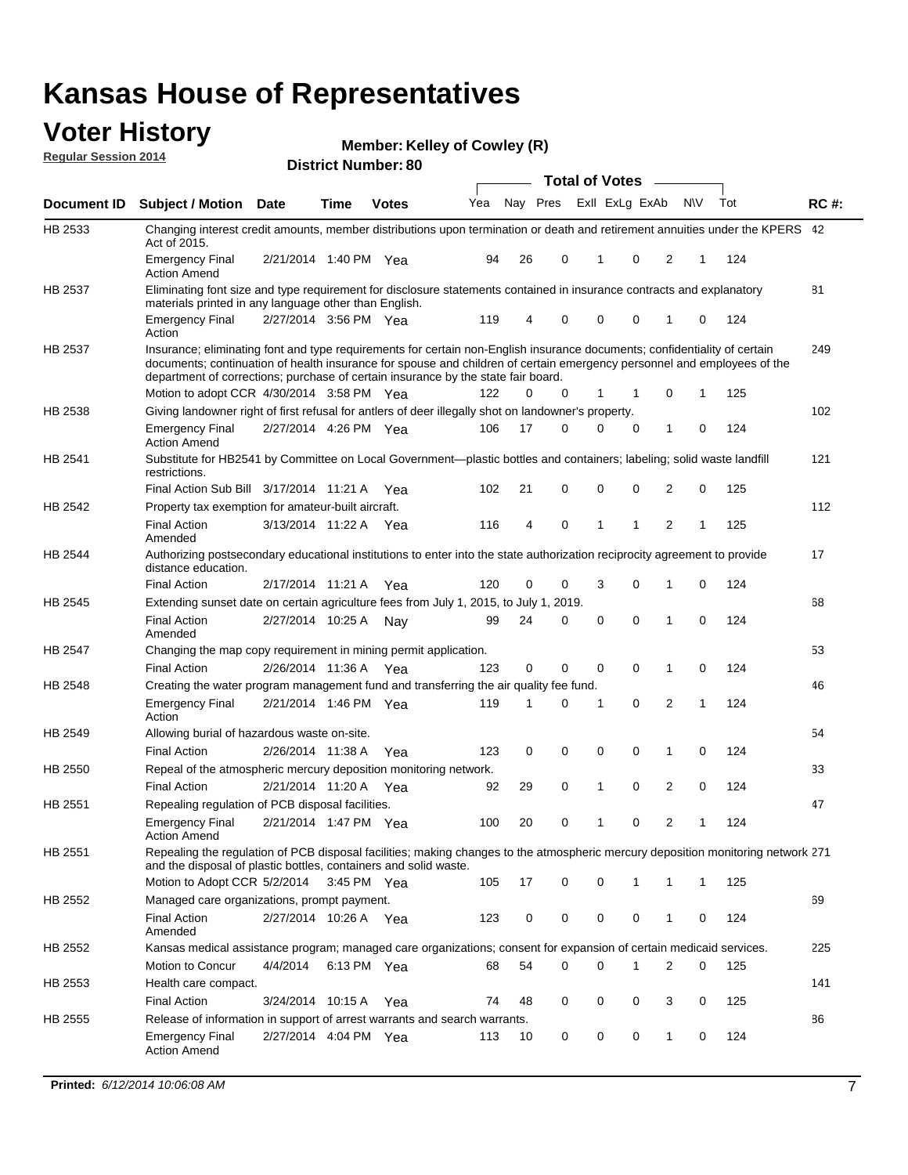#### **Voter History Regular Session 2014**

**Member: Kelley of Cowley (R)** 

|                |                                                                                                                                                                                                                                                                                                                                           |                       |             | וסושעו ואמוווטפו |     |    |          | <b>Total of Votes</b> | $\sim$      |                |   |     |             |
|----------------|-------------------------------------------------------------------------------------------------------------------------------------------------------------------------------------------------------------------------------------------------------------------------------------------------------------------------------------------|-----------------------|-------------|------------------|-----|----|----------|-----------------------|-------------|----------------|---|-----|-------------|
| Document ID    | <b>Subject / Motion Date</b>                                                                                                                                                                                                                                                                                                              |                       | Time        | <b>Votes</b>     | Yea |    | Nay Pres | Exll ExLg ExAb        |             | N\V            |   | Tot | <b>RC#:</b> |
| HB 2533        | Changing interest credit amounts, member distributions upon termination or death and retirement annuities under the KPERS 42<br>Act of 2015.                                                                                                                                                                                              |                       |             |                  |     |    |          |                       |             |                |   |     |             |
|                | <b>Emergency Final</b><br><b>Action Amend</b>                                                                                                                                                                                                                                                                                             | 2/21/2014 1:40 PM Yea |             |                  | 94  | 26 | 0        | 1                     | $\mathbf 0$ | 2              | 1 | 124 |             |
| HB 2537        | Eliminating font size and type requirement for disclosure statements contained in insurance contracts and explanatory<br>materials printed in any language other than English.                                                                                                                                                            |                       |             |                  |     |    |          |                       |             |                |   |     | 81          |
|                | <b>Emergency Final</b><br>Action                                                                                                                                                                                                                                                                                                          | 2/27/2014 3:56 PM Yea |             |                  | 119 | 4  | 0        | $\mathbf 0$           | 0           | 1              | 0 | 124 |             |
| HB 2537        | Insurance; eliminating font and type requirements for certain non-English insurance documents; confidentiality of certain<br>documents; continuation of health insurance for spouse and children of certain emergency personnel and employees of the<br>department of corrections; purchase of certain insurance by the state fair board. |                       |             |                  |     |    |          |                       |             |                |   |     | 249         |
|                | Motion to adopt CCR 4/30/2014 3:58 PM Yea                                                                                                                                                                                                                                                                                                 |                       |             |                  | 122 | 0  | 0        | 1                     | 1           | 0              | 1 | 125 |             |
| HB 2538        | Giving landowner right of first refusal for antlers of deer illegally shot on landowner's property.                                                                                                                                                                                                                                       |                       |             |                  |     |    |          |                       |             |                |   |     | 102         |
|                | <b>Emergency Final</b><br><b>Action Amend</b>                                                                                                                                                                                                                                                                                             | 2/27/2014 4:26 PM Yea |             |                  | 106 | 17 | 0        | 0                     | 0           | 1              | 0 | 124 |             |
| HB 2541        | Substitute for HB2541 by Committee on Local Government—plastic bottles and containers; labeling; solid waste landfill<br>restrictions.                                                                                                                                                                                                    |                       |             |                  |     |    |          |                       |             |                |   |     | 121         |
|                | Final Action Sub Bill 3/17/2014 11:21 A Yea                                                                                                                                                                                                                                                                                               |                       |             |                  | 102 | 21 | 0        | $\mathbf 0$           | 0           | 2              | 0 | 125 |             |
| HB 2542        | Property tax exemption for amateur-built aircraft.                                                                                                                                                                                                                                                                                        |                       |             |                  |     |    |          |                       |             |                |   |     | 112         |
|                | <b>Final Action</b><br>Amended                                                                                                                                                                                                                                                                                                            | 3/13/2014 11:22 A Yea |             |                  | 116 | 4  | 0        | 1                     | 1           | $\overline{2}$ | 1 | 125 |             |
| HB 2544        | Authorizing postsecondary educational institutions to enter into the state authorization reciprocity agreement to provide<br>distance education.                                                                                                                                                                                          |                       |             |                  |     |    |          |                       |             |                |   |     | 17          |
|                | <b>Final Action</b>                                                                                                                                                                                                                                                                                                                       | 2/17/2014 11:21 A Yea |             |                  | 120 | 0  | 0        | 3                     | 0           | 1              | 0 | 124 |             |
| HB 2545        | Extending sunset date on certain agriculture fees from July 1, 2015, to July 1, 2019.                                                                                                                                                                                                                                                     |                       |             |                  |     |    |          |                       |             |                |   |     | 68          |
|                | <b>Final Action</b><br>Amended                                                                                                                                                                                                                                                                                                            | 2/27/2014 10:25 A Nay |             |                  | 99  | 24 | 0        | $\mathbf 0$           | $\Omega$    | 1              | 0 | 124 |             |
| <b>HB 2547</b> | Changing the map copy requirement in mining permit application.                                                                                                                                                                                                                                                                           |                       |             |                  |     |    |          |                       |             |                |   |     | 53          |
|                | <b>Final Action</b>                                                                                                                                                                                                                                                                                                                       | 2/26/2014 11:36 A     |             | Yea              | 123 | 0  | 0        | 0                     | 0           | 1              | 0 | 124 |             |
| HB 2548        | Creating the water program management fund and transferring the air quality fee fund.                                                                                                                                                                                                                                                     |                       |             |                  |     |    |          |                       |             |                |   |     | 46          |
|                | <b>Emergency Final</b><br>Action                                                                                                                                                                                                                                                                                                          | 2/21/2014 1:46 PM Yea |             |                  | 119 | 1  | 0        | 1                     | 0           | 2              | 1 | 124 |             |
| HB 2549        | Allowing burial of hazardous waste on-site.                                                                                                                                                                                                                                                                                               |                       |             |                  |     |    |          |                       |             |                |   |     | 54          |
|                | <b>Final Action</b>                                                                                                                                                                                                                                                                                                                       | 2/26/2014 11:38 A     |             | Yea              | 123 | 0  | 0        | $\mathbf 0$           | 0           | 1              | 0 | 124 |             |
| HB 2550        | Repeal of the atmospheric mercury deposition monitoring network.                                                                                                                                                                                                                                                                          |                       |             |                  |     |    |          |                       |             |                |   |     | 33          |
|                | <b>Final Action</b>                                                                                                                                                                                                                                                                                                                       | 2/21/2014 11:20 A Yea |             |                  | 92  | 29 | 0        | 1                     | 0           | 2              | 0 | 124 |             |
| HB 2551        | Repealing regulation of PCB disposal facilities.                                                                                                                                                                                                                                                                                          |                       |             |                  |     |    |          |                       |             |                |   |     | 47          |
|                | <b>Emergency Final</b><br>Action Amend                                                                                                                                                                                                                                                                                                    | 2/21/2014 1:47 PM Yea |             |                  | 100 | 20 | 0        | 1                     | 0           | 2              | 1 | 124 |             |
| HB 2551        | Repealing the regulation of PCB disposal facilities; making changes to the atmospheric mercury deposition monitoring network 271<br>and the disposal of plastic bottles, containers and solid waste.                                                                                                                                      |                       |             |                  |     |    |          |                       |             |                |   |     |             |
|                | Motion to Adopt CCR 5/2/2014                                                                                                                                                                                                                                                                                                              |                       | 3:45 PM Yea |                  | 105 | 17 | 0        | $\mathbf 0$           | 1           | 1              | 1 | 125 |             |
| HB 2552        | Managed care organizations, prompt payment.                                                                                                                                                                                                                                                                                               |                       |             |                  |     |    |          |                       |             |                |   |     | 69          |
|                | <b>Final Action</b><br>Amended                                                                                                                                                                                                                                                                                                            | 2/27/2014 10:26 A Yea |             |                  | 123 | 0  | 0        | $\mathbf 0$           | 0           | 1              | 0 | 124 |             |
| HB 2552        | Kansas medical assistance program; managed care organizations; consent for expansion of certain medicaid services.                                                                                                                                                                                                                        |                       |             |                  |     |    |          |                       |             |                |   |     | 225         |
|                | Motion to Concur                                                                                                                                                                                                                                                                                                                          | 4/4/2014              | 6:13 PM Yea |                  | 68  | 54 | 0        | $\mathbf 0$           | 1           | 2              | 0 | 125 |             |
| HB 2553        | Health care compact.                                                                                                                                                                                                                                                                                                                      |                       |             |                  |     |    |          |                       |             |                |   |     | 141         |
|                | <b>Final Action</b>                                                                                                                                                                                                                                                                                                                       | 3/24/2014 10:15 A Yea |             |                  | 74  | 48 | 0        | 0                     | 0           | 3              | 0 | 125 |             |
| HB 2555        | Release of information in support of arrest warrants and search warrants.                                                                                                                                                                                                                                                                 |                       |             |                  |     |    |          |                       |             |                |   |     | 86          |
|                | <b>Emergency Final</b><br><b>Action Amend</b>                                                                                                                                                                                                                                                                                             | 2/27/2014 4:04 PM Yea |             |                  | 113 | 10 | 0        | 0                     | 0           | 1              | 0 | 124 |             |
|                |                                                                                                                                                                                                                                                                                                                                           |                       |             |                  |     |    |          |                       |             |                |   |     |             |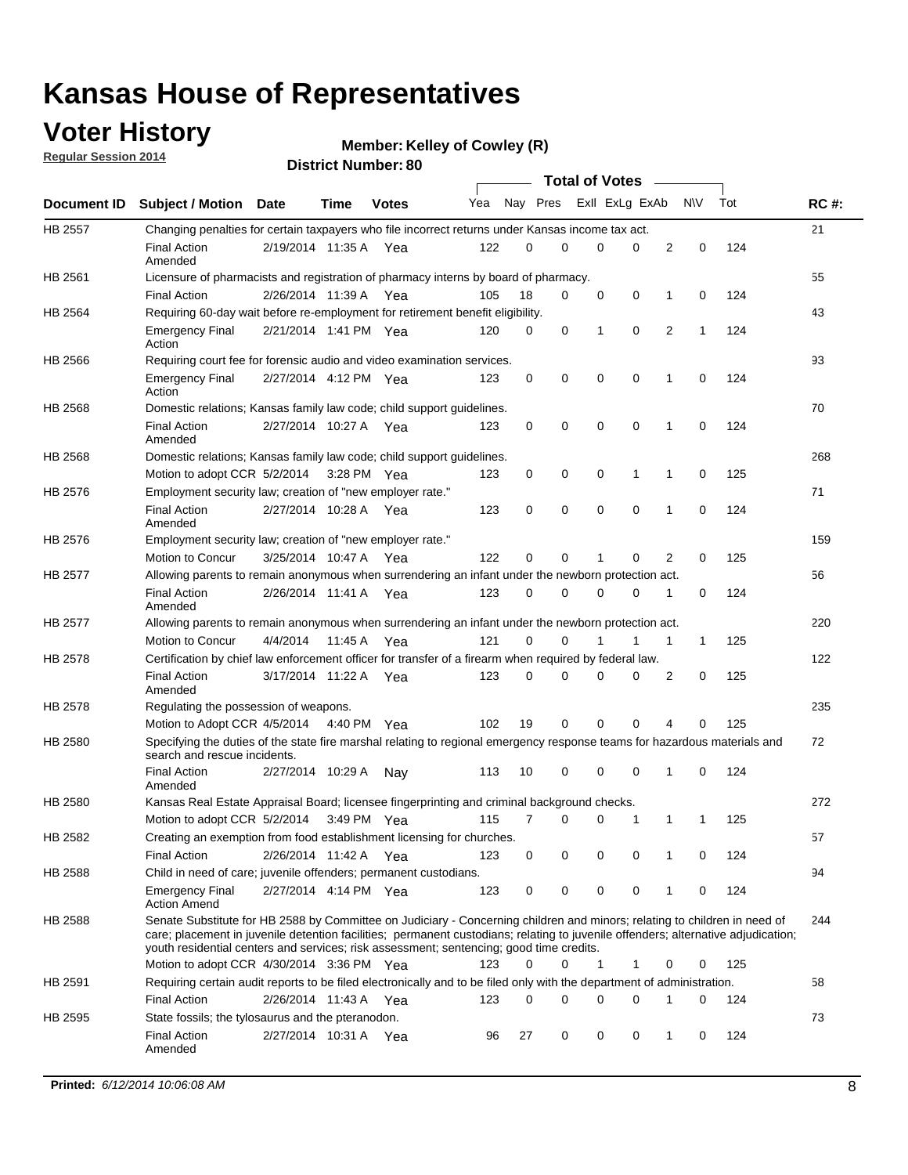### **Voter History**

**Regular Session 2014**

```
Member: Kelley of Cowley (R)
```

|                    |                                                                                                                                                                                                                                                                                                                                                           |                       |             | <b>DISTRICT MAILINGLE OF</b> |     |    |          |              | <b>Total of Votes</b> |                |             |     |             |
|--------------------|-----------------------------------------------------------------------------------------------------------------------------------------------------------------------------------------------------------------------------------------------------------------------------------------------------------------------------------------------------------|-----------------------|-------------|------------------------------|-----|----|----------|--------------|-----------------------|----------------|-------------|-----|-------------|
| <b>Document ID</b> | <b>Subject / Motion Date</b>                                                                                                                                                                                                                                                                                                                              |                       | Time        | <b>Votes</b>                 | Yea |    | Nay Pres |              | Exll ExLg ExAb        |                | <b>NV</b>   | Tot | <b>RC#:</b> |
| <b>HB 2557</b>     | Changing penalties for certain taxpayers who file incorrect returns under Kansas income tax act.                                                                                                                                                                                                                                                          |                       |             |                              |     |    |          |              |                       |                |             |     | 21          |
|                    | <b>Final Action</b><br>Amended                                                                                                                                                                                                                                                                                                                            | 2/19/2014 11:35 A Yea |             |                              | 122 | 0  | 0        | 0            | 0                     | 2              | $\mathbf 0$ | 124 |             |
| HB 2561            | Licensure of pharmacists and registration of pharmacy interns by board of pharmacy.                                                                                                                                                                                                                                                                       |                       |             |                              |     |    |          |              |                       |                |             |     | 55          |
|                    | <b>Final Action</b>                                                                                                                                                                                                                                                                                                                                       | 2/26/2014 11:39 A     |             | Yea                          | 105 | 18 | 0        | 0            | 0                     | 1              | $\mathbf 0$ | 124 |             |
| HB 2564            | Requiring 60-day wait before re-employment for retirement benefit eligibility.                                                                                                                                                                                                                                                                            |                       |             |                              |     |    |          |              |                       |                |             |     | 43          |
|                    | <b>Emergency Final</b><br>Action                                                                                                                                                                                                                                                                                                                          | 2/21/2014 1:41 PM Yea |             |                              | 120 | 0  | 0        | $\mathbf{1}$ | 0                     | $\overline{2}$ | 1           | 124 |             |
| HB 2566            | Requiring court fee for forensic audio and video examination services.                                                                                                                                                                                                                                                                                    |                       |             |                              |     |    |          |              |                       |                |             |     | 93          |
|                    | <b>Emergency Final</b><br>Action                                                                                                                                                                                                                                                                                                                          | 2/27/2014 4:12 PM Yea |             |                              | 123 | 0  | 0        | 0            | 0                     | 1              | 0           | 124 |             |
| HB 2568            | Domestic relations; Kansas family law code; child support guidelines.                                                                                                                                                                                                                                                                                     |                       |             |                              |     |    |          |              |                       |                |             |     | 70          |
|                    | <b>Final Action</b><br>Amended                                                                                                                                                                                                                                                                                                                            | 2/27/2014 10:27 A Yea |             |                              | 123 | 0  | 0        | 0            | $\mathbf 0$           | 1              | $\mathbf 0$ | 124 |             |
| HB 2568            | Domestic relations; Kansas family law code; child support guidelines.                                                                                                                                                                                                                                                                                     |                       |             |                              |     |    |          |              |                       |                |             |     | 268         |
|                    | Motion to adopt CCR 5/2/2014                                                                                                                                                                                                                                                                                                                              |                       | 3:28 PM Yea |                              | 123 | 0  | 0        | 0            | 1                     | 1              | $\mathbf 0$ | 125 |             |
| HB 2576            | Employment security law; creation of "new employer rate."                                                                                                                                                                                                                                                                                                 |                       |             |                              |     |    |          |              |                       |                |             |     | 71          |
|                    | <b>Final Action</b><br>Amended                                                                                                                                                                                                                                                                                                                            | 2/27/2014 10:28 A Yea |             |                              | 123 | 0  | 0        | $\mathbf 0$  | $\mathbf 0$           | 1              | $\mathbf 0$ | 124 |             |
| HB 2576            | Employment security law; creation of "new employer rate."                                                                                                                                                                                                                                                                                                 |                       |             |                              |     |    |          |              |                       |                |             |     | 159         |
|                    | Motion to Concur                                                                                                                                                                                                                                                                                                                                          | 3/25/2014 10:47 A     |             | Yea                          | 122 | 0  | 0        | 1            | 0                     | 2              | 0           | 125 |             |
| <b>HB 2577</b>     | Allowing parents to remain anonymous when surrendering an infant under the newborn protection act.                                                                                                                                                                                                                                                        |                       |             |                              |     |    |          |              |                       |                |             |     | 56          |
|                    | <b>Final Action</b><br>Amended                                                                                                                                                                                                                                                                                                                            | 2/26/2014 11:41 A     |             | Yea                          | 123 | 0  | 0        | 0            | 0                     | 1              | 0           | 124 |             |
| <b>HB 2577</b>     | Allowing parents to remain anonymous when surrendering an infant under the newborn protection act.                                                                                                                                                                                                                                                        |                       |             |                              |     |    |          |              |                       |                |             |     | 220         |
|                    | <b>Motion to Concur</b>                                                                                                                                                                                                                                                                                                                                   | 4/4/2014              | 11:45 A     | Yea                          | 121 | 0  | 0        |              | 1                     | 1              | 1           | 125 |             |
| HB 2578            | Certification by chief law enforcement officer for transfer of a firearm when required by federal law.                                                                                                                                                                                                                                                    |                       |             |                              |     |    |          |              |                       |                |             |     | 122         |
|                    | <b>Final Action</b><br>Amended                                                                                                                                                                                                                                                                                                                            | 3/17/2014 11:22 A Yea |             |                              | 123 | 0  | 0        | 0            | 0                     | 2              | 0           | 125 |             |
| HB 2578            | Regulating the possession of weapons.                                                                                                                                                                                                                                                                                                                     |                       |             |                              |     |    |          |              |                       |                |             |     | 235         |
|                    | Motion to Adopt CCR 4/5/2014 4:40 PM Yea                                                                                                                                                                                                                                                                                                                  |                       |             |                              | 102 | 19 | 0        | $\mathbf 0$  | 0                     | 4              | 0           | 125 |             |
| HB 2580            | Specifying the duties of the state fire marshal relating to regional emergency response teams for hazardous materials and<br>search and rescue incidents.                                                                                                                                                                                                 |                       |             |                              |     |    |          |              |                       |                |             |     | 72          |
|                    | <b>Final Action</b><br>Amended                                                                                                                                                                                                                                                                                                                            | 2/27/2014 10:29 A     |             | Nav                          | 113 | 10 | 0        | 0            | 0                     | $\mathbf{1}$   | $\mathbf 0$ | 124 |             |
| <b>HB 2580</b>     | Kansas Real Estate Appraisal Board; licensee fingerprinting and criminal background checks.                                                                                                                                                                                                                                                               |                       |             |                              |     |    |          |              |                       |                |             |     | 272         |
|                    | Motion to adopt CCR 5/2/2014                                                                                                                                                                                                                                                                                                                              |                       |             | 3:49 PM Yea                  | 115 | 7  | 0        | 0            | 1                     | 1              | 1           | 125 |             |
| HB 2582            | Creating an exemption from food establishment licensing for churches.                                                                                                                                                                                                                                                                                     |                       |             |                              |     |    |          |              |                       |                |             |     | 57          |
|                    | <b>Final Action</b>                                                                                                                                                                                                                                                                                                                                       | 2/26/2014 11:42 A     |             | Yea                          | 123 | 0  | 0        | 0            | 0                     | 1              | 0           | 124 |             |
| HB 2588            | Child in need of care; juvenile offenders; permanent custodians.                                                                                                                                                                                                                                                                                          |                       |             |                              |     |    |          |              |                       |                |             |     | 94          |
|                    | <b>Emergency Final</b><br><b>Action Amend</b>                                                                                                                                                                                                                                                                                                             | 2/27/2014 4:14 PM Yea |             |                              | 123 | 0  | 0        | 0            | 0                     | 1              | 0           | 124 |             |
| HB 2588            | Senate Substitute for HB 2588 by Committee on Judiciary - Concerning children and minors; relating to children in need of<br>care; placement in juvenile detention facilities; permanent custodians; relating to juvenile offenders; alternative adjudication;<br>youth residential centers and services; risk assessment; sentencing; good time credits. |                       |             |                              |     |    |          |              |                       |                |             |     | 244         |
|                    | Motion to adopt CCR 4/30/2014 3:36 PM Yea                                                                                                                                                                                                                                                                                                                 |                       |             |                              | 123 | 0  | 0        | $\mathbf{1}$ | 1                     | 0              | 0           | 125 |             |
| HB 2591            | Requiring certain audit reports to be filed electronically and to be filed only with the department of administration.                                                                                                                                                                                                                                    |                       |             |                              |     |    |          |              |                       |                |             |     | 58          |
|                    | <b>Final Action</b>                                                                                                                                                                                                                                                                                                                                       | 2/26/2014 11:43 A Yea |             |                              | 123 | 0  | 0        | 0            | 0                     | 1              | 0           | 124 |             |
| HB 2595            | State fossils; the tylosaurus and the pteranodon.                                                                                                                                                                                                                                                                                                         |                       |             |                              |     |    |          |              |                       |                |             |     | 73          |
|                    | <b>Final Action</b><br>Amended                                                                                                                                                                                                                                                                                                                            | 2/27/2014 10:31 A Yea |             |                              | 96  | 27 | 0        | 0            | 0                     | 1              | 0           | 124 |             |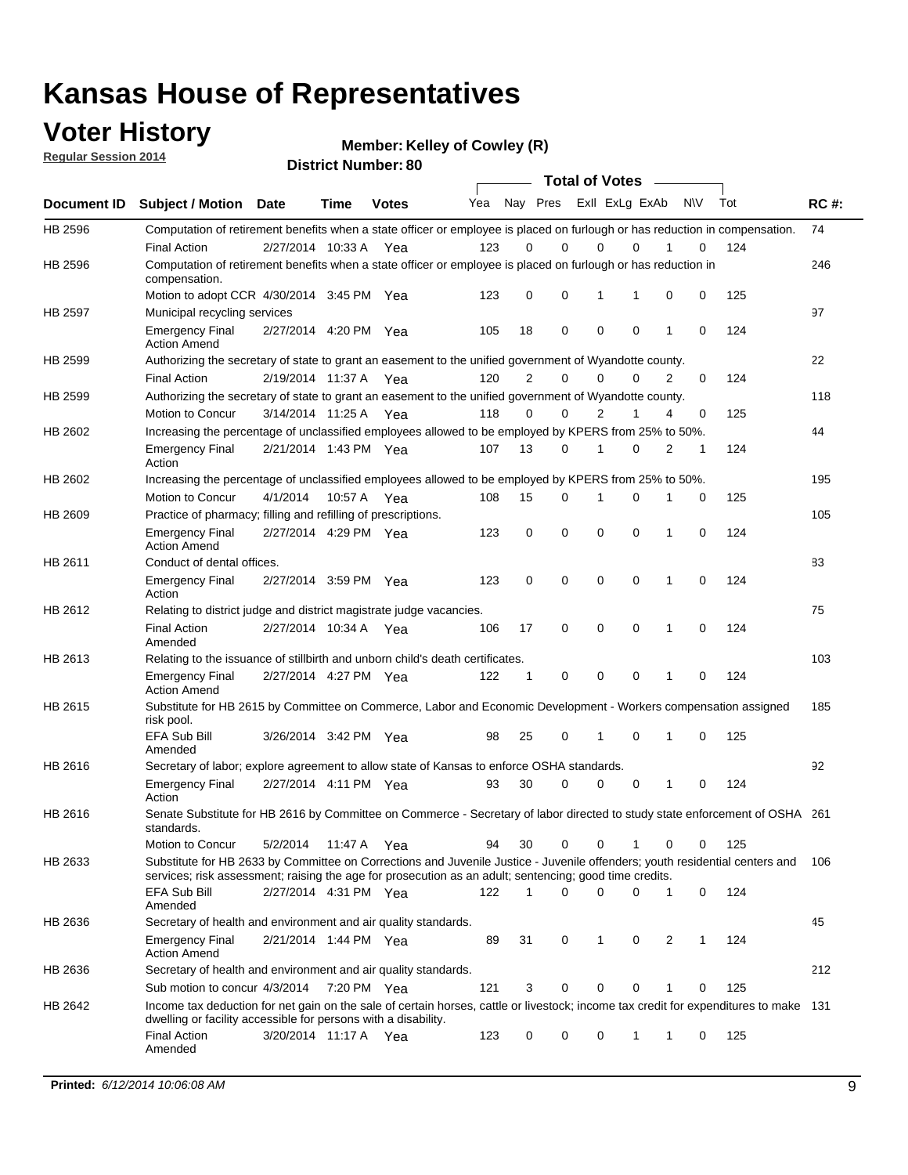### **Voter History**

**Regular Session 2014**

**Member: Kelley of Cowley (R)** 

| <b>District Number: 80</b> |  |
|----------------------------|--|
|                            |  |

|             |                                                                                                                                                                                                                                       | <b>Total of Votes</b> |             |              |     |             |                         |             |             |              |           |     |             |
|-------------|---------------------------------------------------------------------------------------------------------------------------------------------------------------------------------------------------------------------------------------|-----------------------|-------------|--------------|-----|-------------|-------------------------|-------------|-------------|--------------|-----------|-----|-------------|
| Document ID | <b>Subject / Motion Date</b>                                                                                                                                                                                                          |                       | Time        | <b>Votes</b> | Yea |             | Nay Pres Exll ExLg ExAb |             |             |              | <b>NV</b> | Tot | <b>RC#:</b> |
| HB 2596     | Computation of retirement benefits when a state officer or employee is placed on furlough or has reduction in compensation.                                                                                                           |                       |             |              |     |             |                         |             |             |              |           |     | 74          |
|             | <b>Final Action</b>                                                                                                                                                                                                                   | 2/27/2014 10:33 A     |             | Yea          | 123 | 0           | 0                       | $\mathbf 0$ | $\Omega$    |              | 0         | 124 |             |
| HB 2596     | Computation of retirement benefits when a state officer or employee is placed on furlough or has reduction in<br>compensation.                                                                                                        |                       |             |              |     |             |                         |             |             |              |           |     | 246         |
|             | Motion to adopt CCR 4/30/2014 3:45 PM Yea                                                                                                                                                                                             |                       |             |              | 123 | 0           | 0                       | 1           | 1           | 0            | 0         | 125 |             |
| HB 2597     | Municipal recycling services                                                                                                                                                                                                          |                       |             |              |     |             |                         |             |             |              |           |     | 97          |
|             | <b>Emergency Final</b><br><b>Action Amend</b>                                                                                                                                                                                         | 2/27/2014 4:20 PM Yea |             |              | 105 | 18          | 0                       | $\mathbf 0$ | 0           | $\mathbf{1}$ | 0         | 124 |             |
| HB 2599     | Authorizing the secretary of state to grant an easement to the unified government of Wyandotte county.                                                                                                                                |                       |             |              |     |             |                         |             |             |              |           |     | 22          |
|             | <b>Final Action</b>                                                                                                                                                                                                                   | 2/19/2014 11:37 A     |             | Yea          | 120 | 2           | 0                       | 0           | $\mathbf 0$ | 2            | 0         | 124 |             |
| HB 2599     | Authorizing the secretary of state to grant an easement to the unified government of Wyandotte county.                                                                                                                                |                       |             |              |     |             |                         |             |             |              |           |     | 118         |
|             | Motion to Concur                                                                                                                                                                                                                      | 3/14/2014 11:25 A     |             | Yea          | 118 | 0           | 0                       | 2           | 1           | 4            | 0         | 125 |             |
| HB 2602     | Increasing the percentage of unclassified employees allowed to be employed by KPERS from 25% to 50%.                                                                                                                                  |                       |             |              |     |             |                         |             |             |              |           |     | 44          |
|             | <b>Emergency Final</b><br>Action                                                                                                                                                                                                      | 2/21/2014 1:43 PM Yea |             |              | 107 | 13          | 0                       | 1           | 0           | 2            | 1         | 124 |             |
| HB 2602     | Increasing the percentage of unclassified employees allowed to be employed by KPERS from 25% to 50%.                                                                                                                                  |                       |             |              |     |             |                         |             |             |              |           |     | 195         |
|             | Motion to Concur                                                                                                                                                                                                                      | 4/1/2014              | 10:57 A     | Yea          | 108 | 15          | 0                       | 1           | $\mathbf 0$ | 1            | 0         | 125 |             |
| HB 2609     | Practice of pharmacy; filling and refilling of prescriptions.                                                                                                                                                                         |                       |             |              |     |             |                         |             |             |              |           |     | 105         |
|             | <b>Emergency Final</b><br><b>Action Amend</b>                                                                                                                                                                                         | 2/27/2014 4:29 PM Yea |             |              | 123 | $\mathbf 0$ | $\mathbf 0$             | $\mathbf 0$ | $\mathbf 0$ | 1            | $\Omega$  | 124 |             |
| HB 2611     | Conduct of dental offices.                                                                                                                                                                                                            |                       |             |              |     |             |                         |             |             |              |           |     | 83          |
|             | <b>Emergency Final</b><br>Action                                                                                                                                                                                                      | 2/27/2014 3:59 PM Yea |             |              | 123 | 0           | 0                       | $\mathbf 0$ | $\mathbf 0$ | 1            | 0         | 124 |             |
| HB 2612     | Relating to district judge and district magistrate judge vacancies.                                                                                                                                                                   |                       |             |              |     |             |                         |             |             |              |           |     | 75          |
|             | <b>Final Action</b><br>Amended                                                                                                                                                                                                        | 2/27/2014 10:34 A     |             | Yea          | 106 | 17          | 0                       | $\mathbf 0$ | $\mathbf 0$ | 1            | 0         | 124 |             |
| HB 2613     | Relating to the issuance of stillbirth and unborn child's death certificates.                                                                                                                                                         |                       |             |              |     |             |                         |             |             |              |           |     | 103         |
|             | <b>Emergency Final</b><br><b>Action Amend</b>                                                                                                                                                                                         | 2/27/2014 4:27 PM Yea |             |              | 122 | $\mathbf 1$ | $\mathbf 0$             | $\mathbf 0$ | 0           | 1            | 0         | 124 |             |
| HB 2615     | Substitute for HB 2615 by Committee on Commerce, Labor and Economic Development - Workers compensation assigned<br>risk pool.                                                                                                         |                       |             |              |     |             |                         |             |             |              |           |     | 185         |
|             | EFA Sub Bill<br>Amended                                                                                                                                                                                                               | 3/26/2014 3:42 PM Yea |             |              | 98  | 25          | 0                       | 1           | 0           | 1            | 0         | 125 |             |
| HB 2616     | Secretary of labor; explore agreement to allow state of Kansas to enforce OSHA standards.                                                                                                                                             |                       |             |              |     |             |                         |             |             |              |           |     | 92          |
|             | <b>Emergency Final</b><br>Action                                                                                                                                                                                                      | 2/27/2014 4:11 PM Yea |             |              | 93  | 30          | $\Omega$                | $\mathbf 0$ | 0           | 1            | 0         | 124 |             |
| HB 2616     | Senate Substitute for HB 2616 by Committee on Commerce - Secretary of labor directed to study state enforcement of OSHA 261<br>standards.                                                                                             |                       |             |              |     |             |                         |             |             |              |           |     |             |
|             | Motion to Concur                                                                                                                                                                                                                      | 5/2/2014 11:47 A      |             | Yea          | 94  | 30          | 0                       | $\mathbf 0$ | 1           | 0            | 0         | 125 |             |
| HB 2633     | Substitute for HB 2633 by Committee on Corrections and Juvenile Justice - Juvenile offenders; youth residential centers and<br>services; risk assessment; raising the age for prosecution as an adult; sentencing; good time credits. |                       |             |              |     |             |                         |             |             |              |           |     | - 106       |
|             | EFA Sub Bill<br>Amended                                                                                                                                                                                                               | 2/27/2014 4:31 PM Yea |             |              | 122 | 1           | 0                       | 0           | 0           | 1            | 0         | 124 |             |
| HB 2636     | Secretary of health and environment and air quality standards.                                                                                                                                                                        |                       |             |              |     |             |                         |             |             |              |           |     | 45          |
|             | <b>Emergency Final</b><br><b>Action Amend</b>                                                                                                                                                                                         | 2/21/2014 1:44 PM Yea |             |              | 89  | 31          | 0                       | 1           | 0           | 2            |           | 124 |             |
| HB 2636     | Secretary of health and environment and air quality standards.                                                                                                                                                                        |                       |             |              |     |             |                         |             |             |              |           |     | 212         |
|             | Sub motion to concur 4/3/2014                                                                                                                                                                                                         |                       | 7:20 PM Yea |              | 121 | 3           | 0                       | 0           | 0           | 1            | 0         | 125 |             |
| HB 2642     | Income tax deduction for net gain on the sale of certain horses, cattle or livestock; income tax credit for expenditures to make 131<br>dwelling or facility accessible for persons with a disability.                                |                       |             |              |     |             |                         |             |             |              |           |     |             |
|             | <b>Final Action</b><br>Amended                                                                                                                                                                                                        | 3/20/2014 11:17 A Yea |             |              | 123 | 0           | 0                       | 0           | 1           | 1            | 0         | 125 |             |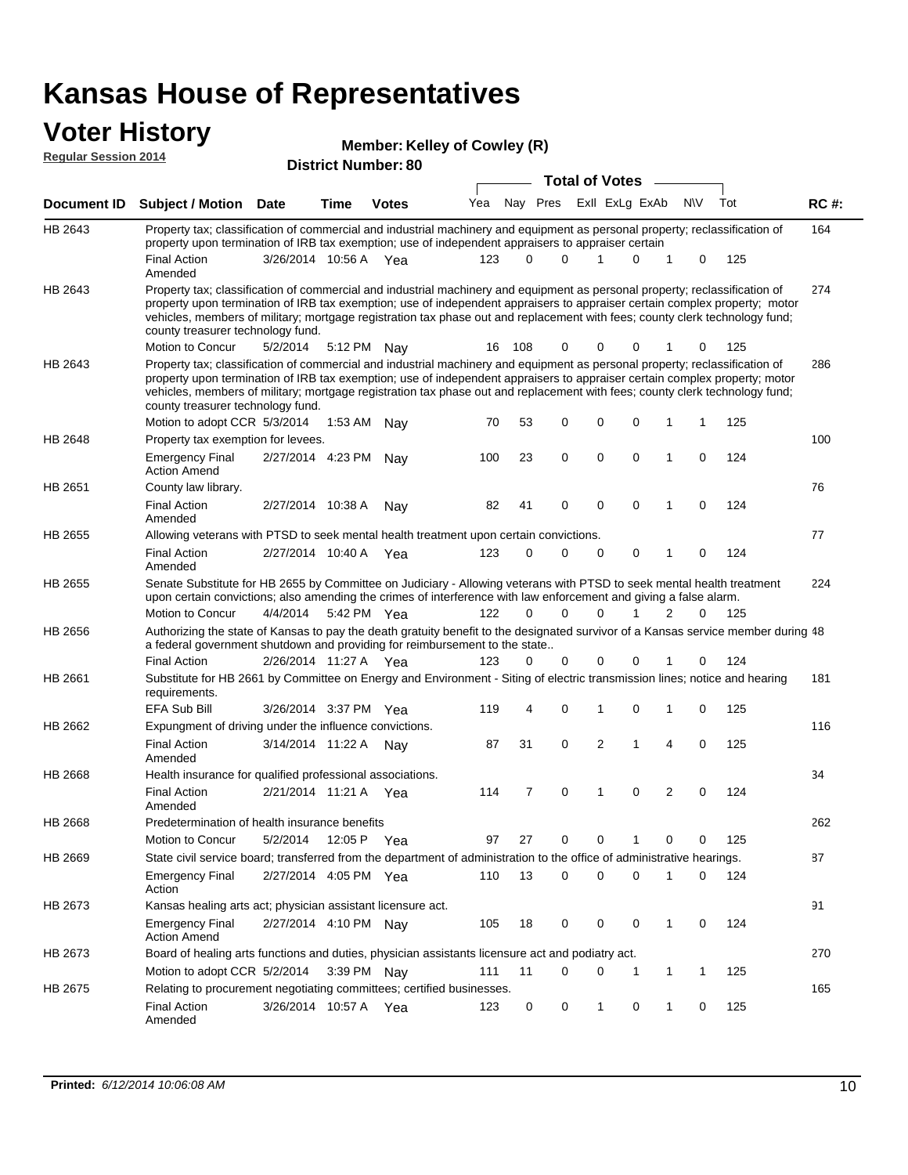### **Voter History**

|  | <b>Member: Kelley of Cowley (R)</b> |  |  |
|--|-------------------------------------|--|--|
|--|-------------------------------------|--|--|

| <b>Regular Session 2014</b> |                                                                                                                                                                                                                                                                                                                                                                                                                               |                       |             |                            | <b>Mellinel: Kelley OF COMICA (IZ)</b> |          |             |                                                  |   |                |              |     |             |
|-----------------------------|-------------------------------------------------------------------------------------------------------------------------------------------------------------------------------------------------------------------------------------------------------------------------------------------------------------------------------------------------------------------------------------------------------------------------------|-----------------------|-------------|----------------------------|----------------------------------------|----------|-------------|--------------------------------------------------|---|----------------|--------------|-----|-------------|
|                             |                                                                                                                                                                                                                                                                                                                                                                                                                               |                       |             | <b>District Number: 80</b> |                                        |          |             |                                                  |   |                |              |     |             |
| Document ID                 | <b>Subject / Motion</b>                                                                                                                                                                                                                                                                                                                                                                                                       | <b>Date</b>           | <b>Time</b> | <b>Votes</b>               | Yea                                    |          |             | <b>Total of Votes</b><br>Nay Pres ExII ExLg ExAb |   |                | N\V          | Tot | <b>RC#:</b> |
| HB 2643                     | Property tax; classification of commercial and industrial machinery and equipment as personal property; reclassification of<br>property upon termination of IRB tax exemption; use of independent appraisers to appraiser certain                                                                                                                                                                                             |                       |             |                            |                                        |          |             |                                                  |   |                |              |     | 164         |
|                             | <b>Final Action</b><br>Amended                                                                                                                                                                                                                                                                                                                                                                                                | 3/26/2014 10:56 A     |             | Yea                        | 123                                    | $\Omega$ | $\Omega$    | 1                                                | 0 | 1              | 0            | 125 |             |
| HB 2643                     | Property tax; classification of commercial and industrial machinery and equipment as personal property; reclassification of<br>property upon termination of IRB tax exemption; use of independent appraisers to appraiser certain complex property; motor<br>vehicles, members of military; mortgage registration tax phase out and replacement with fees; county clerk technology fund;<br>county treasurer technology fund. |                       |             |                            |                                        |          |             |                                                  |   |                |              |     | 274         |
|                             | Motion to Concur                                                                                                                                                                                                                                                                                                                                                                                                              | 5/2/2014              | 5:12 PM     | Nav                        |                                        | 16 108   | 0           | 0                                                | 0 |                | 0            | 125 |             |
| HB 2643                     | Property tax; classification of commercial and industrial machinery and equipment as personal property; reclassification of<br>property upon termination of IRB tax exemption; use of independent appraisers to appraiser certain complex property; motor<br>vehicles, members of military; mortgage registration tax phase out and replacement with fees; county clerk technology fund;<br>county treasurer technology fund. |                       |             |                            |                                        |          |             |                                                  |   |                |              |     | 286         |
|                             | Motion to adopt CCR 5/3/2014                                                                                                                                                                                                                                                                                                                                                                                                  |                       | 1:53 AM Nay |                            | 70                                     | 53       | 0           | 0                                                | 0 | 1              | $\mathbf{1}$ | 125 |             |
| HB 2648                     | Property tax exemption for levees.                                                                                                                                                                                                                                                                                                                                                                                            |                       |             |                            |                                        |          |             |                                                  |   |                |              |     | 100         |
|                             | <b>Emergency Final</b><br><b>Action Amend</b>                                                                                                                                                                                                                                                                                                                                                                                 | 2/27/2014 4:23 PM Nay |             |                            | 100                                    | 23       | $\mathbf 0$ | $\mathbf 0$                                      | 0 | 1              | 0            | 124 |             |
| HB 2651                     | County law library.                                                                                                                                                                                                                                                                                                                                                                                                           |                       |             |                            |                                        |          |             |                                                  |   |                |              |     | 76          |
|                             | <b>Final Action</b><br>Amended                                                                                                                                                                                                                                                                                                                                                                                                | 2/27/2014 10:38 A     |             | Nav                        | 82                                     | 41       | 0           | $\mathbf 0$                                      | 0 | 1              | 0            | 124 |             |
| HB 2655                     | Allowing veterans with PTSD to seek mental health treatment upon certain convictions.                                                                                                                                                                                                                                                                                                                                         |                       |             |                            |                                        |          |             |                                                  |   |                |              |     | 77          |
|                             | <b>Final Action</b><br>Amended                                                                                                                                                                                                                                                                                                                                                                                                | 2/27/2014 10:40 A     |             | Yea                        | 123                                    | 0        | 0           | 0                                                | 0 | 1              | 0            | 124 |             |
| HB 2655                     | Senate Substitute for HB 2655 by Committee on Judiciary - Allowing veterans with PTSD to seek mental health treatment<br>upon certain convictions; also amending the crimes of interference with law enforcement and giving a false alarm.                                                                                                                                                                                    |                       |             |                            |                                        |          |             |                                                  |   |                |              |     | 224         |
|                             | Motion to Concur                                                                                                                                                                                                                                                                                                                                                                                                              | 4/4/2014              | 5:42 PM Yea |                            | 122                                    | 0        | $\Omega$    | 0                                                | 1 | 2              | 0            | 125 |             |
| HB 2656                     | Authorizing the state of Kansas to pay the death gratuity benefit to the designated survivor of a Kansas service member during 48<br>a federal government shutdown and providing for reimbursement to the state                                                                                                                                                                                                               |                       |             |                            |                                        |          |             |                                                  |   |                |              |     |             |
|                             | <b>Final Action</b>                                                                                                                                                                                                                                                                                                                                                                                                           | 2/26/2014 11:27 A Yea |             |                            | 123                                    | $\Omega$ | 0           | 0                                                | 0 |                | 0            | 124 |             |
| HB 2661                     | Substitute for HB 2661 by Committee on Energy and Environment - Siting of electric transmission lines; notice and hearing<br>requirements.                                                                                                                                                                                                                                                                                    |                       |             |                            |                                        |          |             |                                                  |   |                |              |     | 181         |
|                             | EFA Sub Bill                                                                                                                                                                                                                                                                                                                                                                                                                  | 3/26/2014 3:37 PM Yea |             |                            | 119                                    | 4        | 0           | 1                                                | 0 | 1              | 0            | 125 |             |
| HB 2662                     | Expungment of driving under the influence convictions.                                                                                                                                                                                                                                                                                                                                                                        |                       |             |                            |                                        |          |             |                                                  |   |                |              |     | 116         |
|                             | <b>Final Action</b><br>Amended                                                                                                                                                                                                                                                                                                                                                                                                | 3/14/2014 11:22 A Nay |             |                            | 87                                     | 31       | 0           | $\overline{2}$                                   | 1 | $\overline{4}$ | 0            | 125 |             |
| <b>HB 2668</b>              | Health insurance for qualified professional associations.                                                                                                                                                                                                                                                                                                                                                                     |                       |             |                            |                                        |          |             |                                                  |   |                |              |     | 34          |
|                             | <b>Final Action</b><br>Amended                                                                                                                                                                                                                                                                                                                                                                                                | 2/21/2014 11:21 A     |             | Yea                        | 114                                    | 7        | 0           | 1                                                | 0 | $\overline{2}$ | 0            | 124 |             |
| HB 2668                     | Predetermination of health insurance benefits                                                                                                                                                                                                                                                                                                                                                                                 |                       |             |                            |                                        |          |             |                                                  |   |                |              |     | 262         |
|                             | <b>Motion to Concur</b>                                                                                                                                                                                                                                                                                                                                                                                                       | 5/2/2014              | 12:05 P Yea |                            | 97                                     | 27       | 0           | 0                                                | 1 | 0              | 0            | 125 |             |
| HB 2669                     | State civil service board; transferred from the department of administration to the office of administrative hearings.                                                                                                                                                                                                                                                                                                        |                       |             |                            |                                        |          |             |                                                  |   |                |              |     | 87          |
|                             | <b>Emergency Final</b><br>Action                                                                                                                                                                                                                                                                                                                                                                                              | 2/27/2014 4:05 PM Yea |             |                            | 110                                    | 13       | 0           | $\mathbf 0$                                      | 0 | 1              | 0            | 124 |             |
| HB 2673                     | Kansas healing arts act; physician assistant licensure act.                                                                                                                                                                                                                                                                                                                                                                   |                       |             |                            |                                        |          |             |                                                  |   |                |              |     | 91          |
|                             | <b>Emergency Final</b><br><b>Action Amend</b>                                                                                                                                                                                                                                                                                                                                                                                 | 2/27/2014 4:10 PM Nay |             |                            | 105                                    | 18       | 0           | 0                                                | 0 | $\mathbf{1}$   | 0            | 124 |             |
| HB 2673                     | Board of healing arts functions and duties, physician assistants licensure act and podiatry act.                                                                                                                                                                                                                                                                                                                              |                       |             |                            |                                        |          |             |                                                  |   |                |              |     | 270         |
|                             | Motion to adopt CCR 5/2/2014                                                                                                                                                                                                                                                                                                                                                                                                  |                       | 3:39 PM Nay |                            | 111                                    | 11       | 0           | 0                                                | 1 | 1              | 1            | 125 |             |
| HB 2675                     | Relating to procurement negotiating committees; certified businesses.                                                                                                                                                                                                                                                                                                                                                         |                       |             |                            |                                        |          |             |                                                  |   |                |              |     | 165         |
|                             | <b>Final Action</b><br>Amended                                                                                                                                                                                                                                                                                                                                                                                                | 3/26/2014 10:57 A Yea |             |                            | 123                                    | 0        | 0           | $\mathbf{1}$                                     | 0 | 1              | 0            | 125 |             |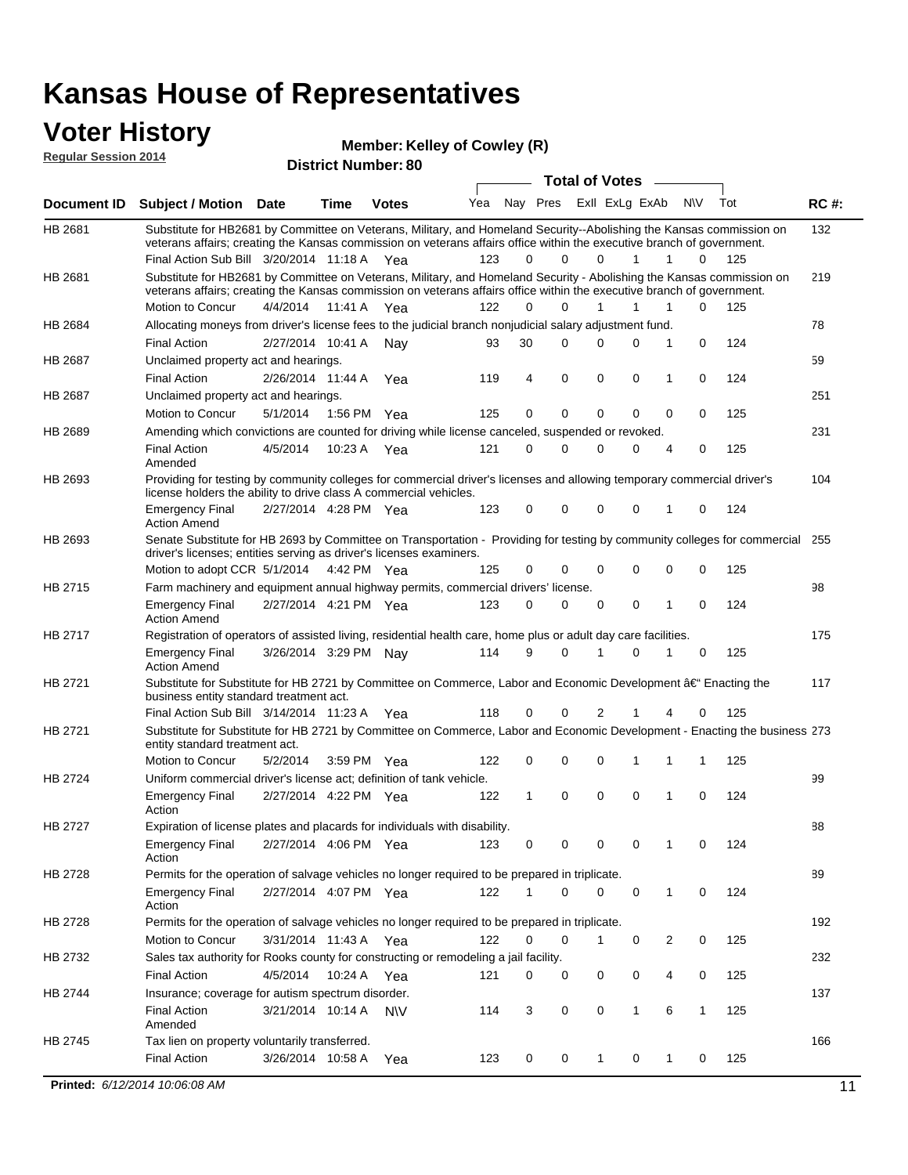# **Voter History Member**<br>**Regular Session 2014**

**Regular Session 2014**

**District Number: Member: Kelley of Cowley (R)**  $\overline{a}$ 

|                |                                                                                                                                                                                                                                                                                               |                       |             | <b>District Number: 80</b> |     |              |          |                                    |             |   |           |     |             |
|----------------|-----------------------------------------------------------------------------------------------------------------------------------------------------------------------------------------------------------------------------------------------------------------------------------------------|-----------------------|-------------|----------------------------|-----|--------------|----------|------------------------------------|-------------|---|-----------|-----|-------------|
| Document ID    | <b>Subject / Motion Date</b>                                                                                                                                                                                                                                                                  |                       | <b>Time</b> | <b>Votes</b>               | Yea | Nay Pres     |          | Total of Votes –<br>Exll ExLg ExAb |             |   | <b>NV</b> | Tot | <b>RC#:</b> |
| HB 2681        | Substitute for HB2681 by Committee on Veterans, Military, and Homeland Security--Abolishing the Kansas commission on<br>veterans affairs; creating the Kansas commission on veterans affairs office within the executive branch of government.<br>Final Action Sub Bill 3/20/2014 11:18 A Yea |                       |             |                            | 123 | $\Omega$     | $\Omega$ | $\Omega$                           | 1           | 1 | 0         | 125 | 132         |
| HB 2681        | Substitute for HB2681 by Committee on Veterans, Military, and Homeland Security - Abolishing the Kansas commission on<br>veterans affairs; creating the Kansas commission on veterans affairs office within the executive branch of government.                                               |                       |             |                            |     |              |          |                                    |             |   |           |     | 219         |
|                | Motion to Concur                                                                                                                                                                                                                                                                              | 4/4/2014              | 11:41 A     | Yea                        | 122 | 0            | 0        | 1                                  | 1           | 1 | 0         | 125 |             |
| HB 2684        | Allocating moneys from driver's license fees to the judicial branch nonjudicial salary adjustment fund.                                                                                                                                                                                       |                       |             |                            |     |              |          |                                    |             |   |           |     | 78          |
|                | <b>Final Action</b>                                                                                                                                                                                                                                                                           | 2/27/2014 10:41 A     |             | Nav                        | 93  | 30           | 0        | 0                                  | 0           | 1 | 0         | 124 |             |
| <b>HB 2687</b> | Unclaimed property act and hearings.                                                                                                                                                                                                                                                          |                       |             |                            |     |              |          |                                    |             |   |           |     | 59          |
|                | <b>Final Action</b>                                                                                                                                                                                                                                                                           | 2/26/2014 11:44 A     |             | Yea                        | 119 | 4            | 0        | 0                                  | 0           | 1 | 0         | 124 |             |
| HB 2687        | Unclaimed property act and hearings.                                                                                                                                                                                                                                                          |                       |             |                            |     |              |          |                                    |             |   |           |     | 251         |
|                | Motion to Concur                                                                                                                                                                                                                                                                              | 5/1/2014              | 1:56 PM     | Yea                        | 125 | 0            | 0        | 0                                  | $\mathbf 0$ | 0 | 0         | 125 |             |
| HB 2689        | Amending which convictions are counted for driving while license canceled, suspended or revoked.                                                                                                                                                                                              |                       |             |                            |     |              |          |                                    |             |   |           |     | 231         |
|                | <b>Final Action</b><br>Amended                                                                                                                                                                                                                                                                | 4/5/2014              | 10:23 A     | Yea                        | 121 | 0            | 0        | $\mathbf 0$                        | 0           | 4 | 0         | 125 |             |
| HB 2693        | Providing for testing by community colleges for commercial driver's licenses and allowing temporary commercial driver's<br>license holders the ability to drive class A commercial vehicles.                                                                                                  |                       |             |                            |     |              |          |                                    |             |   |           |     | 104         |
|                | <b>Emergency Final</b><br><b>Action Amend</b>                                                                                                                                                                                                                                                 | 2/27/2014 4:28 PM Yea |             |                            | 123 | 0            | 0        | $\Omega$                           | $\mathbf 0$ | 1 | 0         | 124 |             |
| HB 2693        | Senate Substitute for HB 2693 by Committee on Transportation - Providing for testing by community colleges for commercial 255<br>driver's licenses; entities serving as driver's licenses examiners.<br>Motion to adopt CCR 5/1/2014 4:42 PM Yea                                              |                       |             |                            | 125 | 0            | 0        | 0                                  | 0           | 0 | 0         | 125 |             |
| HB 2715        | Farm machinery and equipment annual highway permits, commercial drivers' license.                                                                                                                                                                                                             |                       |             |                            |     |              |          |                                    |             |   |           |     | 98          |
|                | <b>Emergency Final</b><br><b>Action Amend</b>                                                                                                                                                                                                                                                 | 2/27/2014 4:21 PM Yea |             |                            | 123 | 0            | 0        | 0                                  | 0           | 1 | 0         | 124 |             |
| HB 2717        | Registration of operators of assisted living, residential health care, home plus or adult day care facilities.                                                                                                                                                                                |                       |             |                            |     |              |          |                                    |             |   |           |     | 175         |
|                | <b>Emergency Final</b><br><b>Action Amend</b>                                                                                                                                                                                                                                                 | 3/26/2014 3:29 PM Nay |             |                            | 114 | 9            | $\Omega$ |                                    | $\Omega$    | 1 | 0         | 125 |             |
| HB 2721        | Substitute for Substitute for HB 2721 by Committee on Commerce, Labor and Economic Development †Enacting the<br>business entity standard treatment act.                                                                                                                                       |                       |             |                            |     |              |          |                                    |             |   |           |     | 117         |
|                | Final Action Sub Bill 3/14/2014 11:23 A Yea                                                                                                                                                                                                                                                   |                       |             |                            | 118 | 0            | 0        | 2                                  |             | 4 | 0         | 125 |             |
| HB 2721        | Substitute for Substitute for HB 2721 by Committee on Commerce, Labor and Economic Development - Enacting the business 273<br>entity standard treatment act.                                                                                                                                  |                       |             |                            |     |              |          |                                    |             |   |           |     |             |
|                | Motion to Concur                                                                                                                                                                                                                                                                              | 5/2/2014              |             | 3:59 PM Yea                | 122 | 0            | 0        | $\mathbf 0$                        | 1           | 1 | 1         | 125 |             |
| HB 2724        | Uniform commercial driver's license act; definition of tank vehicle.                                                                                                                                                                                                                          |                       |             |                            |     |              |          |                                    |             |   |           |     | 99          |
|                | <b>Emergency Final</b><br>Action                                                                                                                                                                                                                                                              | 2/27/2014 4:22 PM Yea |             |                            | 122 | $\mathbf{1}$ | 0        | $\Omega$                           | $\mathbf 0$ | 1 | 0         | 124 |             |
| HB 2727        | Expiration of license plates and placards for individuals with disability.                                                                                                                                                                                                                    |                       |             |                            |     |              |          |                                    |             |   |           |     | 88          |
|                | <b>Emergency Final</b><br>Action                                                                                                                                                                                                                                                              | 2/27/2014 4:06 PM Yea |             |                            | 123 | 0            | 0        | 0                                  | 0           | 1 | 0         | 124 |             |
| HB 2728        | Permits for the operation of salvage vehicles no longer required to be prepared in triplicate.                                                                                                                                                                                                |                       |             |                            |     |              |          |                                    |             |   |           |     | 89          |
|                | <b>Emergency Final</b><br>Action                                                                                                                                                                                                                                                              | 2/27/2014 4:07 PM Yea |             |                            | 122 | 1            | 0        | 0                                  | 0           | 1 | 0         | 124 |             |
| HB 2728        | Permits for the operation of salvage vehicles no longer required to be prepared in triplicate.                                                                                                                                                                                                |                       |             |                            |     |              |          |                                    |             |   |           |     | 192         |
|                | Motion to Concur                                                                                                                                                                                                                                                                              | 3/31/2014 11:43 A Yea |             |                            | 122 | 0            | 0        | 1                                  | 0           | 2 | 0         | 125 |             |
| HB 2732        | Sales tax authority for Rooks county for constructing or remodeling a jail facility.                                                                                                                                                                                                          |                       |             |                            |     |              |          |                                    |             |   |           |     | 232         |
|                | <b>Final Action</b>                                                                                                                                                                                                                                                                           | 4/5/2014              | 10:24 A     | Yea                        | 121 | 0            | 0        | 0                                  | 0           | 4 | 0         | 125 |             |
| HB 2744        | Insurance; coverage for autism spectrum disorder.                                                                                                                                                                                                                                             |                       |             |                            |     |              |          |                                    |             |   |           |     | 137         |
|                | <b>Final Action</b><br>Amended                                                                                                                                                                                                                                                                | 3/21/2014 10:14 A     |             | <b>NV</b>                  | 114 | 3            | 0        | 0                                  | 1           | 6 | 1         | 125 |             |
| HB 2745        | Tax lien on property voluntarily transferred.                                                                                                                                                                                                                                                 |                       |             |                            |     |              |          |                                    |             |   |           |     | 166         |
|                | <b>Final Action</b>                                                                                                                                                                                                                                                                           | 3/26/2014 10:58 A     |             | Yea                        | 123 | 0            | 0        | 1                                  | 0           | 1 | 0         | 125 |             |
|                | Printed: 6/12/2014 10:06:08 AM                                                                                                                                                                                                                                                                |                       |             |                            |     |              |          |                                    |             |   |           |     | 11          |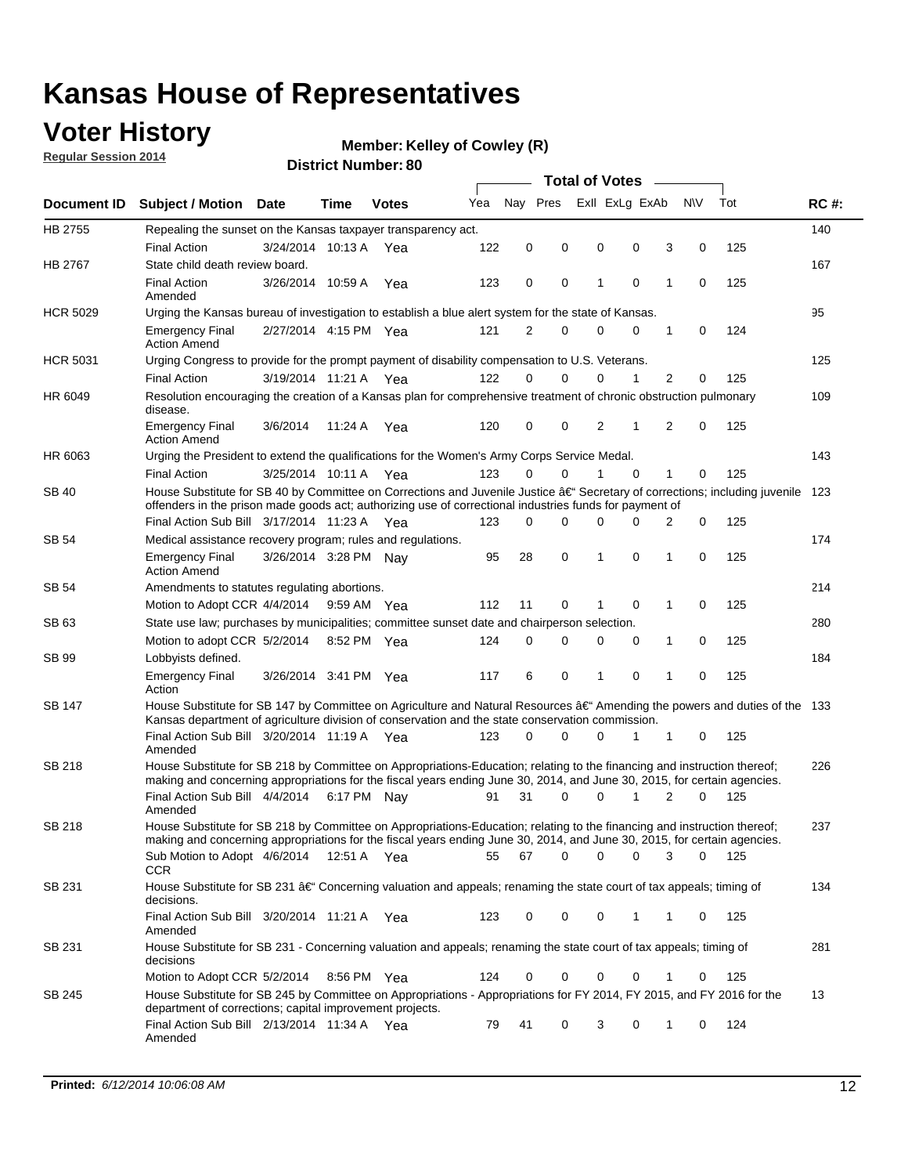### **Voter History**

**Regular Session 2014**

#### **Member: Kelley of Cowley (R)**

|                 | <b>Total of Votes</b>                                                                                                                                                                                                                |                       |             |              |     |          |             |   |                |             |                |          |     |             |
|-----------------|--------------------------------------------------------------------------------------------------------------------------------------------------------------------------------------------------------------------------------------|-----------------------|-------------|--------------|-----|----------|-------------|---|----------------|-------------|----------------|----------|-----|-------------|
|                 | Document ID Subject / Motion Date                                                                                                                                                                                                    |                       | Time        | <b>Votes</b> | Yea | Nav Pres |             |   | Exll ExLg ExAb |             | N\V            |          | Tot | <b>RC#:</b> |
| HB 2755         | Repealing the sunset on the Kansas taxpayer transparency act.                                                                                                                                                                        |                       |             |              |     |          |             |   |                |             |                |          |     | 140         |
|                 | <b>Final Action</b>                                                                                                                                                                                                                  | 3/24/2014 10:13 A     |             | Yea          | 122 | 0        | 0           | 0 |                | 0           | 3              | 0        | 125 |             |
| HB 2767         | State child death review board.                                                                                                                                                                                                      |                       |             |              |     |          |             |   |                |             |                |          |     | 167         |
|                 | <b>Final Action</b><br>Amended                                                                                                                                                                                                       | 3/26/2014 10:59 A     |             | Yea          | 123 | 0        | 0           | 1 |                | $\mathbf 0$ | 1              | 0        | 125 |             |
| <b>HCR 5029</b> | Urging the Kansas bureau of investigation to establish a blue alert system for the state of Kansas.                                                                                                                                  |                       |             |              |     |          |             |   |                |             |                |          |     | 95          |
|                 | <b>Emergency Final</b><br><b>Action Amend</b>                                                                                                                                                                                        | 2/27/2014 4:15 PM Yea |             |              | 121 | 2        | 0           | 0 |                | 0           | 1              | 0        | 124 |             |
| <b>HCR 5031</b> | Urging Congress to provide for the prompt payment of disability compensation to U.S. Veterans.                                                                                                                                       |                       |             |              |     |          |             |   |                |             |                |          |     | 125         |
|                 | <b>Final Action</b>                                                                                                                                                                                                                  | 3/19/2014 11:21 A Yea |             |              | 122 | $\Omega$ | 0           | 0 |                | 1           | $\overline{2}$ | 0        | 125 |             |
| HR 6049         | Resolution encouraging the creation of a Kansas plan for comprehensive treatment of chronic obstruction pulmonary<br>disease.                                                                                                        |                       |             |              |     |          |             |   |                |             |                |          |     | 109         |
|                 | <b>Emergency Final</b><br><b>Action Amend</b>                                                                                                                                                                                        | 3/6/2014              | 11:24 A     | Yea          | 120 | 0        | 0           | 2 |                | 1           | 2              | 0        | 125 |             |
| HR 6063         | Urging the President to extend the qualifications for the Women's Army Corps Service Medal.                                                                                                                                          |                       |             |              |     |          |             |   |                |             |                |          |     | 143         |
|                 | <b>Final Action</b>                                                                                                                                                                                                                  | 3/25/2014 10:11 A Yea |             |              | 123 | $\Omega$ | $\Omega$    | 1 |                | $\Omega$    | 1              | 0        | 125 |             |
| <b>SB 40</b>    | House Substitute for SB 40 by Committee on Corrections and Juvenile Justice †Secretary of corrections; including juvenile<br>offenders in the prison made goods act; authorizing use of correctional industries funds for payment of |                       |             |              |     |          |             |   |                |             |                |          |     | 123         |
|                 | Final Action Sub Bill 3/17/2014 11:23 A Yea                                                                                                                                                                                          |                       |             |              | 123 | 0        | 0           | 0 |                | $\Omega$    | 2              | 0        | 125 |             |
| SB 54           | Medical assistance recovery program; rules and regulations.                                                                                                                                                                          |                       |             |              |     |          |             |   |                |             |                |          |     | 174         |
|                 | <b>Emergency Final</b><br><b>Action Amend</b>                                                                                                                                                                                        | 3/26/2014 3:28 PM Nay |             |              | 95  | 28       | $\mathbf 0$ | 1 |                | 0           | $\mathbf{1}$   | 0        | 125 |             |
| SB 54           | Amendments to statutes regulating abortions.                                                                                                                                                                                         |                       |             |              |     |          |             |   |                |             |                |          |     | 214         |
|                 | Motion to Adopt CCR 4/4/2014                                                                                                                                                                                                         |                       | 9:59 AM Yea |              | 112 | 11       | 0           |   |                | $\mathbf 0$ | 1              | 0        | 125 |             |
| SB 63           | State use law; purchases by municipalities; committee sunset date and chairperson selection.                                                                                                                                         |                       |             |              |     |          |             |   |                |             |                |          |     | 280         |
|                 | Motion to adopt CCR 5/2/2014                                                                                                                                                                                                         |                       |             | 8:52 PM Yea  | 124 | 0        | 0           | 0 |                | 0           | 1              | 0        | 125 |             |
| SB 99           | Lobbyists defined.                                                                                                                                                                                                                   |                       |             |              |     |          |             |   |                |             |                |          |     | 184         |
|                 | <b>Emergency Final</b><br>Action                                                                                                                                                                                                     | 3/26/2014 3:41 PM Yea |             |              | 117 | 6        | 0           | 1 |                | $\mathbf 0$ | 1              | 0        | 125 |             |
| SB 147          | House Substitute for SB 147 by Committee on Agriculture and Natural Resources †Amending the powers and duties of the 133<br>Kansas department of agriculture division of conservation and the state conservation commission.         |                       |             |              |     |          |             |   |                |             |                |          |     |             |
|                 | Final Action Sub Bill 3/20/2014 11:19 A Yea<br>Amended                                                                                                                                                                               |                       |             |              | 123 | 0        | 0           | 0 |                | 1           | 1              | 0        | 125 |             |
| <b>SB 218</b>   | House Substitute for SB 218 by Committee on Appropriations-Education; relating to the financing and instruction thereof;                                                                                                             |                       |             |              |     |          |             |   |                |             |                |          |     | 226         |
|                 | making and concerning appropriations for the fiscal years ending June 30, 2014, and June 30, 2015, for certain agencies.<br>Final Action Sub Bill 4/4/2014 6:17 PM Nay                                                               |                       |             |              | 91  | 31       | $\Omega$    | 0 |                | 1           | 2              | $\Omega$ | 125 |             |
|                 | Amended                                                                                                                                                                                                                              |                       |             |              |     |          |             |   |                |             |                |          |     |             |
| <b>SB 218</b>   | House Substitute for SB 218 by Committee on Appropriations-Education; relating to the financing and instruction thereof;                                                                                                             |                       |             |              |     |          |             |   |                |             |                |          |     | 237         |
|                 | making and concerning appropriations for the fiscal years ending June 30, 2014, and June 30, 2015, for certain agencies.                                                                                                             |                       |             |              |     |          |             |   |                |             |                |          |     |             |
|                 | Sub Motion to Adopt 4/6/2014 12:51 A Yea<br>CCR                                                                                                                                                                                      |                       |             |              | 55  | 67       | 0           | 0 |                | 0           | 3              | 0        | 125 |             |
| SB 231          | House Substitute for SB 231 †Concerning valuation and appeals; renaming the state court of tax appeals; timing of<br>decisions.                                                                                                      |                       |             |              |     |          |             |   |                |             |                |          |     | 134         |
|                 | Final Action Sub Bill 3/20/2014 11:21 A Yea<br>Amended                                                                                                                                                                               |                       |             |              | 123 | 0        | 0           | 0 |                | 1           | 1              | 0        | 125 |             |
| SB 231          | House Substitute for SB 231 - Concerning valuation and appeals; renaming the state court of tax appeals; timing of<br>decisions                                                                                                      |                       |             |              |     |          |             |   |                |             |                |          |     | 281         |
|                 | Motion to Adopt CCR 5/2/2014                                                                                                                                                                                                         |                       |             | 8:56 PM Yea  | 124 | 0        | 0           | 0 |                | 0           | 1              | 0        | 125 |             |
| SB 245          | House Substitute for SB 245 by Committee on Appropriations - Appropriations for FY 2014, FY 2015, and FY 2016 for the<br>department of corrections; capital improvement projects.                                                    |                       |             |              |     |          |             |   |                |             |                |          |     | 13          |
|                 | Final Action Sub Bill 2/13/2014 11:34 A Yea<br>Amended                                                                                                                                                                               |                       |             |              | 79  | 41       | 0           | 3 |                | 0           | 1              | 0        | 124 |             |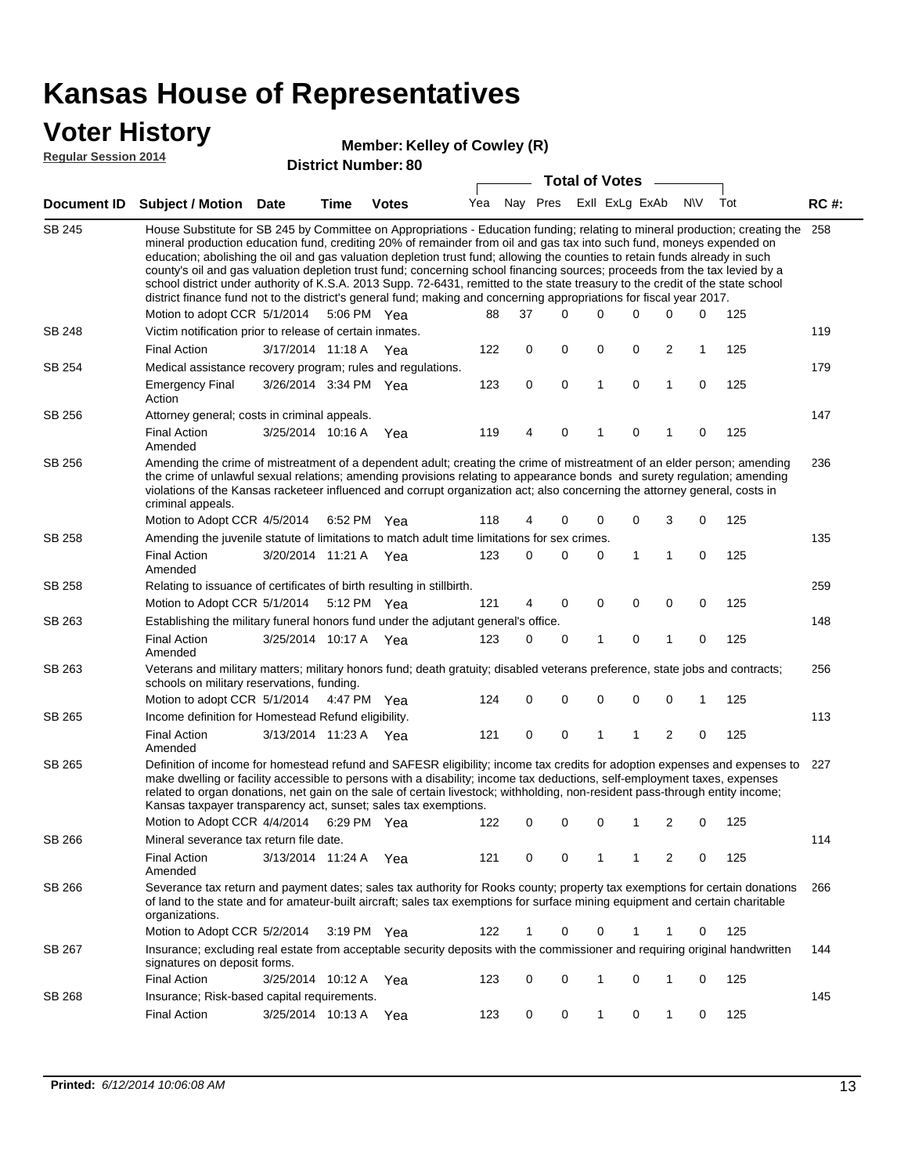### **Voter History**

#### **Member: Kelley of Cowley (R)**

**Regular Session 2014**

|               |                                                                                                                                                                                                                                                                                                                                                                                                                                                                                                                                                                                                                                                                                                                                                                                                               |                       |      | <b>DISTICL NUTTIDEL, OU</b> |     |          |   | <b>Total of Votes</b> |                |             |                         |           |     |             |
|---------------|---------------------------------------------------------------------------------------------------------------------------------------------------------------------------------------------------------------------------------------------------------------------------------------------------------------------------------------------------------------------------------------------------------------------------------------------------------------------------------------------------------------------------------------------------------------------------------------------------------------------------------------------------------------------------------------------------------------------------------------------------------------------------------------------------------------|-----------------------|------|-----------------------------|-----|----------|---|-----------------------|----------------|-------------|-------------------------|-----------|-----|-------------|
|               | Document ID Subject / Motion                                                                                                                                                                                                                                                                                                                                                                                                                                                                                                                                                                                                                                                                                                                                                                                  | Date                  | Time | <b>Votes</b>                | Yea | Nay Pres |   |                       | Exll ExLg ExAb |             |                         | <b>NV</b> | Tot | <b>RC#:</b> |
| <b>SB 245</b> | House Substitute for SB 245 by Committee on Appropriations - Education funding; relating to mineral production; creating the<br>mineral production education fund, crediting 20% of remainder from oil and gas tax into such fund, moneys expended on<br>education; abolishing the oil and gas valuation depletion trust fund; allowing the counties to retain funds already in such<br>county's oil and gas valuation depletion trust fund; concerning school financing sources; proceeds from the tax levied by a<br>school district under authority of K.S.A. 2013 Supp. 72-6431, remitted to the state treasury to the credit of the state school<br>district finance fund not to the district's general fund; making and concerning appropriations for fiscal year 2017.<br>Motion to adopt CCR 5/1/2014 |                       |      | 5:06 PM Yea                 | 88  | 37       |   | $\Omega$              | 0              | 0           | 0                       | 0         | 125 | 258         |
| SB 248        | Victim notification prior to release of certain inmates.                                                                                                                                                                                                                                                                                                                                                                                                                                                                                                                                                                                                                                                                                                                                                      |                       |      |                             |     |          |   |                       |                |             |                         |           |     | 119         |
|               | <b>Final Action</b>                                                                                                                                                                                                                                                                                                                                                                                                                                                                                                                                                                                                                                                                                                                                                                                           | 3/17/2014 11:18 A Yea |      |                             | 122 |          | 0 | 0                     | 0              | 0           | $\overline{2}$          | 1         | 125 |             |
| SB 254        | Medical assistance recovery program; rules and regulations.                                                                                                                                                                                                                                                                                                                                                                                                                                                                                                                                                                                                                                                                                                                                                   |                       |      |                             |     |          |   |                       |                |             |                         |           |     | 179         |
|               | <b>Emergency Final</b><br>Action                                                                                                                                                                                                                                                                                                                                                                                                                                                                                                                                                                                                                                                                                                                                                                              | 3/26/2014 3:34 PM Yea |      |                             | 123 |          | 0 | 0                     | $\mathbf{1}$   | 0           | $\mathbf{1}$            | 0         | 125 |             |
| SB 256        | Attorney general; costs in criminal appeals.                                                                                                                                                                                                                                                                                                                                                                                                                                                                                                                                                                                                                                                                                                                                                                  |                       |      |                             |     |          |   |                       |                |             |                         |           |     | 147         |
|               | <b>Final Action</b><br>Amended                                                                                                                                                                                                                                                                                                                                                                                                                                                                                                                                                                                                                                                                                                                                                                                | 3/25/2014 10:16 A     |      | Yea                         | 119 |          | 4 | 0                     | 1              | 0           | 1                       | 0         | 125 |             |
| SB 256        | Amending the crime of mistreatment of a dependent adult; creating the crime of mistreatment of an elder person; amending<br>the crime of unlawful sexual relations; amending provisions relating to appearance bonds and surety regulation; amending<br>violations of the Kansas racketeer influenced and corrupt organization act; also concerning the attorney general, costs in<br>criminal appeals.                                                                                                                                                                                                                                                                                                                                                                                                       |                       |      |                             |     |          |   |                       |                |             |                         |           |     | 236         |
|               | Motion to Adopt CCR 4/5/2014 6:52 PM Yea                                                                                                                                                                                                                                                                                                                                                                                                                                                                                                                                                                                                                                                                                                                                                                      |                       |      |                             | 118 |          | 4 | 0                     | 0              | 0           | 3                       | 0         | 125 |             |
| SB 258        | Amending the juvenile statute of limitations to match adult time limitations for sex crimes.                                                                                                                                                                                                                                                                                                                                                                                                                                                                                                                                                                                                                                                                                                                  |                       |      |                             |     |          |   |                       |                |             |                         |           |     | 135         |
|               | <b>Final Action</b><br>Amended                                                                                                                                                                                                                                                                                                                                                                                                                                                                                                                                                                                                                                                                                                                                                                                | 3/20/2014 11:21 A Yea |      |                             | 123 |          | 0 | 0                     | 0              | 1           | 1                       | 0         | 125 |             |
| SB 258        | Relating to issuance of certificates of birth resulting in stillbirth.                                                                                                                                                                                                                                                                                                                                                                                                                                                                                                                                                                                                                                                                                                                                        |                       |      |                             |     |          |   |                       |                |             |                         |           |     | 259         |
|               | Motion to Adopt CCR 5/1/2014 5:12 PM Yea                                                                                                                                                                                                                                                                                                                                                                                                                                                                                                                                                                                                                                                                                                                                                                      |                       |      |                             | 121 |          | 4 | 0                     | 0              | $\mathbf 0$ | 0                       | 0         | 125 |             |
| SB 263        | Establishing the military funeral honors fund under the adjutant general's office.                                                                                                                                                                                                                                                                                                                                                                                                                                                                                                                                                                                                                                                                                                                            |                       |      |                             |     |          |   |                       |                |             |                         |           |     | 148         |
| SB 263        | <b>Final Action</b><br>Amended                                                                                                                                                                                                                                                                                                                                                                                                                                                                                                                                                                                                                                                                                                                                                                                | 3/25/2014 10:17 A Yea |      |                             | 123 |          | 0 | 0                     | 1              | 0           | 1                       | 0         | 125 |             |
|               | Veterans and military matters; military honors fund; death gratuity; disabled veterans preference, state jobs and contracts;<br>schools on military reservations, funding.                                                                                                                                                                                                                                                                                                                                                                                                                                                                                                                                                                                                                                    |                       |      |                             |     |          |   |                       |                |             |                         |           |     | 256         |
|               | Motion to adopt CCR 5/1/2014 4:47 PM Yea                                                                                                                                                                                                                                                                                                                                                                                                                                                                                                                                                                                                                                                                                                                                                                      |                       |      |                             | 124 |          | 0 | 0                     | 0              | 0           | $\mathbf 0$             | 1         | 125 |             |
| SB 265        | Income definition for Homestead Refund eligibility.                                                                                                                                                                                                                                                                                                                                                                                                                                                                                                                                                                                                                                                                                                                                                           |                       |      |                             |     |          |   |                       |                |             |                         |           |     | 113         |
|               | <b>Final Action</b><br>Amended                                                                                                                                                                                                                                                                                                                                                                                                                                                                                                                                                                                                                                                                                                                                                                                | 3/13/2014 11:23 A Yea |      |                             | 121 |          | 0 | 0                     | 1              | 1           | $\overline{\mathbf{c}}$ | 0         | 125 |             |
| SB 265        | Definition of income for homestead refund and SAFESR eligibility; income tax credits for adoption expenses and expenses to<br>make dwelling or facility accessible to persons with a disability; income tax deductions, self-employment taxes, expenses<br>related to organ donations, net gain on the sale of certain livestock; withholding, non-resident pass-through entity income;<br>Kansas taxpayer transparency act, sunset; sales tax exemptions.<br>Motion to Adopt CCR 4/4/2014                                                                                                                                                                                                                                                                                                                    |                       |      | 6:29 PM Yea                 | 122 |          | 0 | 0                     | 0              | 1           | 2                       | 0         | 125 | 227         |
| SB 266        | Mineral severance tax return file date.                                                                                                                                                                                                                                                                                                                                                                                                                                                                                                                                                                                                                                                                                                                                                                       |                       |      |                             |     |          |   |                       |                |             |                         |           |     | 114         |
|               | <b>Final Action</b><br>Amended                                                                                                                                                                                                                                                                                                                                                                                                                                                                                                                                                                                                                                                                                                                                                                                | 3/13/2014 11:24 A     |      | Yea                         | 121 |          | 0 | 0                     | 1              | 1           | 2                       | 0         | 125 |             |
| SB 266        | Severance tax return and payment dates; sales tax authority for Rooks county; property tax exemptions for certain donations<br>of land to the state and for amateur-built aircraft; sales tax exemptions for surface mining equipment and certain charitable<br>organizations.                                                                                                                                                                                                                                                                                                                                                                                                                                                                                                                                |                       |      |                             |     |          |   |                       |                |             |                         |           |     | 266         |
|               | Motion to Adopt CCR 5/2/2014                                                                                                                                                                                                                                                                                                                                                                                                                                                                                                                                                                                                                                                                                                                                                                                  |                       |      | 3:19 PM Yea                 | 122 |          | 1 | 0                     | 0              | 1           | 1                       | 0         | 125 |             |
| SB 267        | Insurance; excluding real estate from acceptable security deposits with the commissioner and requiring original handwritten<br>signatures on deposit forms.                                                                                                                                                                                                                                                                                                                                                                                                                                                                                                                                                                                                                                                   |                       |      |                             |     |          |   |                       |                |             |                         |           |     | 144         |
|               | <b>Final Action</b>                                                                                                                                                                                                                                                                                                                                                                                                                                                                                                                                                                                                                                                                                                                                                                                           | 3/25/2014 10:12 A     |      | Yea                         | 123 |          | 0 | 0                     | 1              | 0           | 1                       | 0         | 125 |             |
| SB 268        | Insurance; Risk-based capital requirements.                                                                                                                                                                                                                                                                                                                                                                                                                                                                                                                                                                                                                                                                                                                                                                   |                       |      |                             |     |          |   |                       |                |             |                         |           |     | 145         |
|               | <b>Final Action</b>                                                                                                                                                                                                                                                                                                                                                                                                                                                                                                                                                                                                                                                                                                                                                                                           | 3/25/2014 10:13 A     |      | Yea                         | 123 |          | 0 | 0                     | 1              | 0           | 1                       | 0         | 125 |             |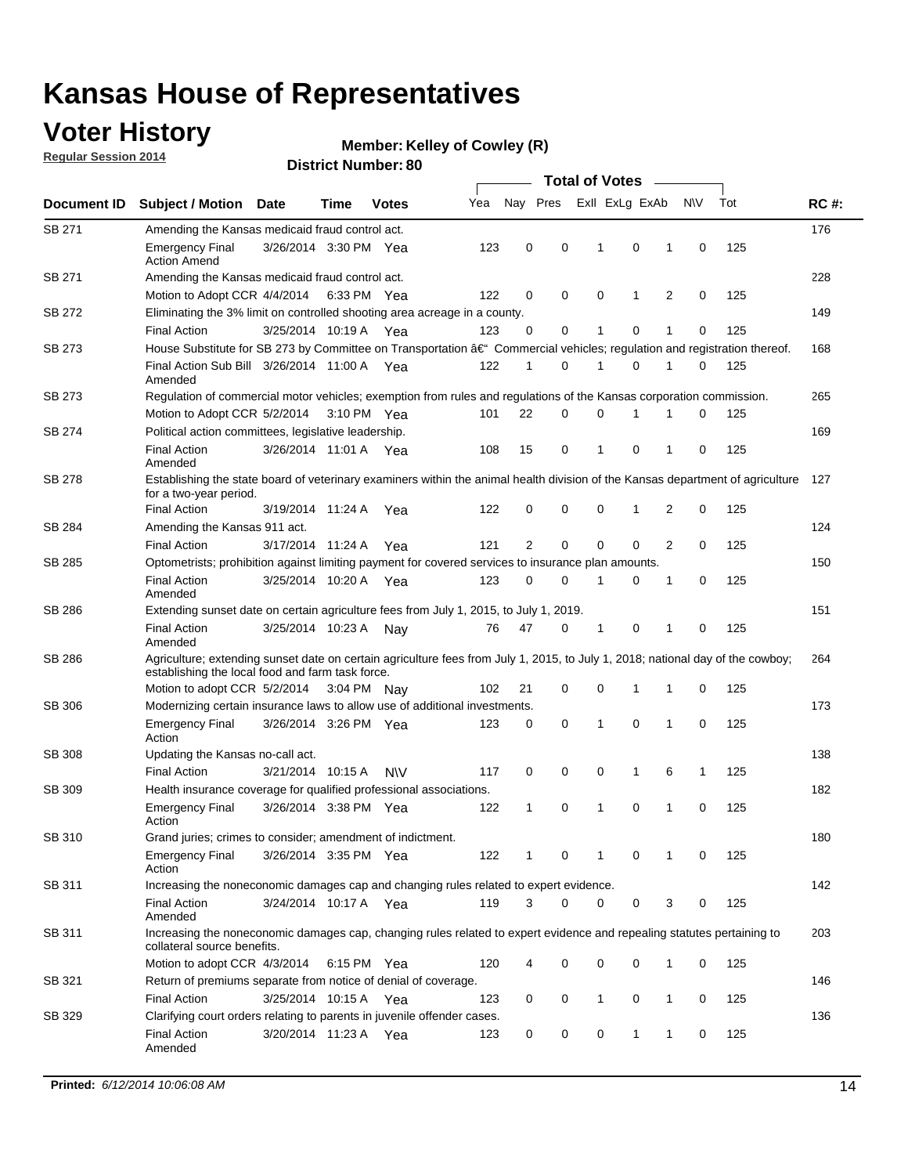### **Voter History**

**Regular Session 2014**

#### **Member: Kelley of Cowley (R)**

|               |                                                                                                                                                                                    |                       |             |           |     | <b>Total of Votes</b> |          |                |             |                |             |     |             |
|---------------|------------------------------------------------------------------------------------------------------------------------------------------------------------------------------------|-----------------------|-------------|-----------|-----|-----------------------|----------|----------------|-------------|----------------|-------------|-----|-------------|
| Document ID   | <b>Subject / Motion Date</b>                                                                                                                                                       |                       | Time        | Votes     | Yea | Nay Pres              |          | Exll ExLg ExAb |             |                | <b>NV</b>   | Tot | <b>RC#:</b> |
| SB 271        | Amending the Kansas medicaid fraud control act.                                                                                                                                    |                       |             |           |     |                       |          |                |             |                |             |     | 176         |
|               | <b>Emergency Final</b><br><b>Action Amend</b>                                                                                                                                      | 3/26/2014 3:30 PM Yea |             |           | 123 | 0                     | 0        | 1              | $\mathbf 0$ | 1              | $\mathbf 0$ | 125 |             |
| SB 271        | Amending the Kansas medicaid fraud control act.                                                                                                                                    |                       |             |           |     |                       |          |                |             |                |             |     | 228         |
|               | Motion to Adopt CCR 4/4/2014 6:33 PM Yea                                                                                                                                           |                       |             |           | 122 | 0                     | 0        | 0              | 1           | $\overline{2}$ | 0           | 125 |             |
| SB 272        | Eliminating the 3% limit on controlled shooting area acreage in a county.                                                                                                          |                       |             |           |     |                       |          |                |             |                |             |     | 149         |
|               | <b>Final Action</b>                                                                                                                                                                | 3/25/2014 10:19 A Yea |             |           | 123 | 0                     | 0        | 1              | $\mathbf 0$ | 1              | $\mathbf 0$ | 125 |             |
| SB 273        | House Substitute for SB 273 by Committee on Transportation †Commercial vehicles; regulation and registration thereof.                                                              |                       |             |           |     |                       |          |                |             |                |             |     | 168         |
|               | Final Action Sub Bill 3/26/2014 11:00 A Yea<br>Amended                                                                                                                             |                       |             |           | 122 | 1                     | 0        | 1              | 0           | 1              | 0           | 125 |             |
| SB 273        | Regulation of commercial motor vehicles; exemption from rules and regulations of the Kansas corporation commission.                                                                |                       |             |           |     |                       |          |                |             |                |             |     | 265         |
|               | Motion to Adopt CCR 5/2/2014                                                                                                                                                       |                       | 3:10 PM Yea |           | 101 | 22                    | 0        | 0              |             |                | 0           | 125 |             |
| SB 274        | Political action committees, legislative leadership.                                                                                                                               |                       |             |           |     |                       |          |                |             |                |             |     | 169         |
|               | <b>Final Action</b><br>Amended                                                                                                                                                     | 3/26/2014 11:01 A Yea |             |           | 108 | 15                    | 0        | 1              | $\mathbf 0$ | 1              | 0           | 125 |             |
| <b>SB 278</b> | Establishing the state board of veterinary examiners within the animal health division of the Kansas department of agriculture<br>for a two-year period.                           |                       |             |           |     |                       |          |                |             |                |             |     | 127         |
|               | <b>Final Action</b>                                                                                                                                                                | 3/19/2014 11:24 A     |             | Yea       | 122 | 0                     | 0        | 0              | 1           | 2              | $\mathbf 0$ | 125 |             |
| SB 284        | Amending the Kansas 911 act.                                                                                                                                                       |                       |             |           |     |                       |          |                |             |                |             |     | 124         |
|               | <b>Final Action</b>                                                                                                                                                                | 3/17/2014 11:24 A     |             | Yea       | 121 | $\overline{2}$        | 0        | $\mathbf 0$    | $\mathbf 0$ | 2              | $\mathbf 0$ | 125 |             |
| SB 285        | Optometrists; prohibition against limiting payment for covered services to insurance plan amounts.                                                                                 |                       |             |           |     |                       |          |                |             |                |             |     | 150         |
|               | <b>Final Action</b><br>Amended                                                                                                                                                     | 3/25/2014 10:20 A Yea |             |           | 123 | 0                     | 0        | 1              | 0           | 1              | 0           | 125 |             |
| SB 286        | Extending sunset date on certain agriculture fees from July 1, 2015, to July 1, 2019.                                                                                              |                       |             |           |     |                       |          |                |             |                |             |     | 151         |
|               | <b>Final Action</b><br>Amended                                                                                                                                                     | 3/25/2014 10:23 A     |             | Nav       | 76  | 47                    | 0        | 1              | $\mathbf 0$ | 1              | $\mathbf 0$ | 125 |             |
| SB 286        | Agriculture; extending sunset date on certain agriculture fees from July 1, 2015, to July 1, 2018; national day of the cowboy;<br>establishing the local food and farm task force. |                       |             |           |     |                       |          |                |             |                |             |     | 264         |
|               | Motion to adopt CCR 5/2/2014 3:04 PM Nav                                                                                                                                           |                       |             |           | 102 | 21                    | 0        | 0              | 1           | 1              | 0           | 125 |             |
| SB 306        | Modernizing certain insurance laws to allow use of additional investments.                                                                                                         |                       |             |           |     |                       |          |                |             |                |             |     | 173         |
|               | <b>Emergency Final</b>                                                                                                                                                             | 3/26/2014 3:26 PM Yea |             |           | 123 | 0                     | 0        | 1              | 0           | 1              | $\mathbf 0$ | 125 |             |
|               | Action                                                                                                                                                                             |                       |             |           |     |                       |          |                |             |                |             |     |             |
| <b>SB 308</b> | Updating the Kansas no-call act.                                                                                                                                                   |                       |             |           |     |                       |          |                |             |                |             |     | 138         |
|               | <b>Final Action</b>                                                                                                                                                                | 3/21/2014 10:15 A     |             | <b>NV</b> | 117 | 0                     | 0        | 0              | 1           | 6              | 1           | 125 |             |
| SB 309        | Health insurance coverage for qualified professional associations.                                                                                                                 |                       |             |           |     |                       |          |                |             |                |             |     | 182         |
|               | <b>Emergency Final</b><br>Action                                                                                                                                                   | 3/26/2014 3:38 PM Yea |             |           | 122 | 1                     | 0        | 1              | $\mathbf 0$ | 1              | $\mathbf 0$ | 125 |             |
| SB 310        | Grand juries; crimes to consider; amendment of indictment.                                                                                                                         |                       |             |           |     |                       |          |                |             |                |             |     | 180         |
|               | <b>Emergency Final</b><br>Action                                                                                                                                                   | 3/26/2014 3:35 PM Yea |             |           | 122 |                       | 0        |                | 0           | 1              | 0           | 125 |             |
| SB 311        | Increasing the noneconomic damages cap and changing rules related to expert evidence.                                                                                              |                       |             |           |     |                       |          |                |             |                |             |     | 142         |
|               | <b>Final Action</b><br>Amended                                                                                                                                                     | 3/24/2014 10:17 A Yea |             |           | 119 | 3                     | $\Omega$ | 0              | 0           | 3              | 0           | 125 |             |
| SB 311        | Increasing the noneconomic damages cap, changing rules related to expert evidence and repealing statutes pertaining to<br>collateral source benefits.                              |                       |             |           |     |                       |          |                |             |                |             |     | 203         |
|               | Motion to adopt CCR 4/3/2014 6:15 PM Yea                                                                                                                                           |                       |             |           | 120 | 4                     | 0        | 0              | 0           | 1              | 0           | 125 |             |
| SB 321        | Return of premiums separate from notice of denial of coverage.                                                                                                                     |                       |             |           |     |                       |          |                |             |                |             |     | 146         |
|               | <b>Final Action</b>                                                                                                                                                                | 3/25/2014 10:15 A Yea |             |           | 123 | 0                     | 0        | 1              | 0           | $\mathbf{1}$   | 0           | 125 |             |
| SB 329        | Clarifying court orders relating to parents in juvenile offender cases.<br><b>Final Action</b><br>Amended                                                                          | 3/20/2014 11:23 A Yea |             |           | 123 | 0                     | 0        | 0              | 1           | 1              | 0           | 125 | 136         |
|               |                                                                                                                                                                                    |                       |             |           |     |                       |          |                |             |                |             |     |             |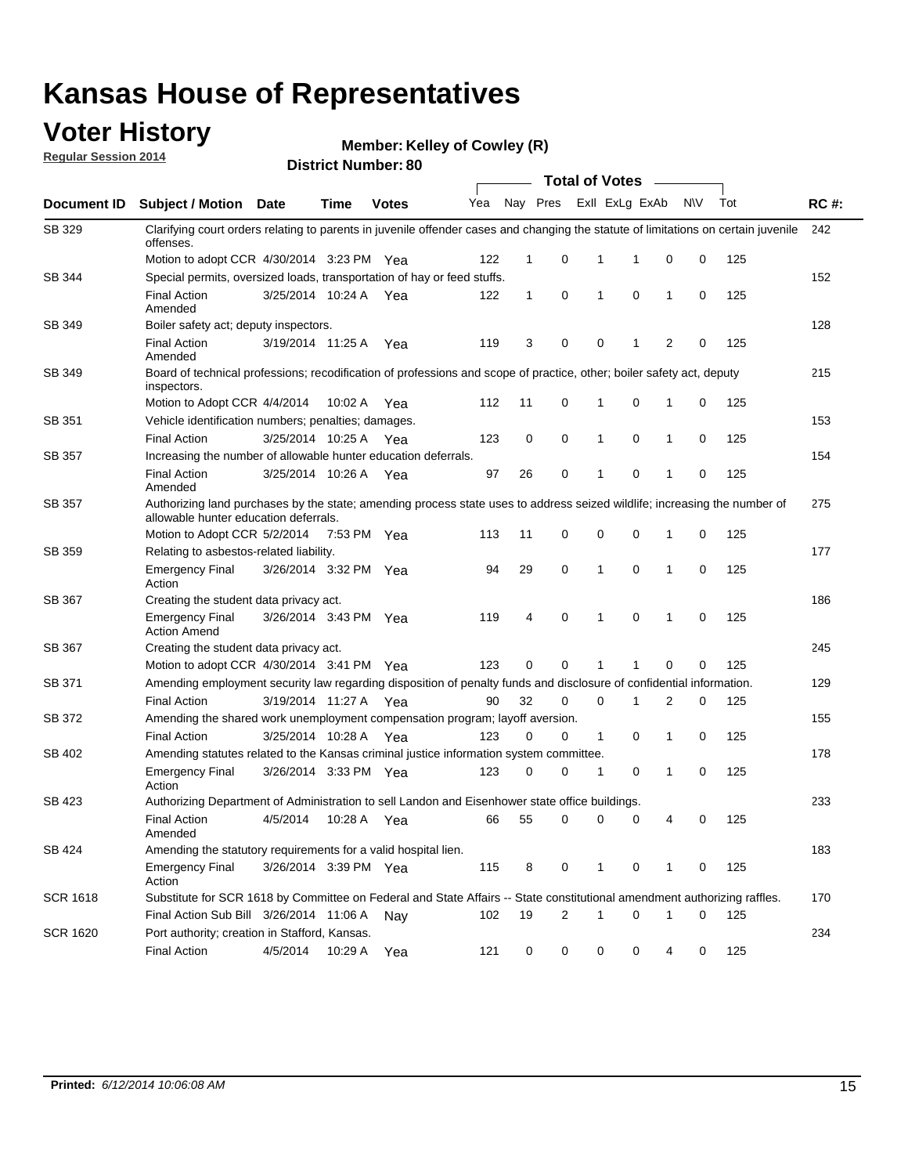### **Voter History**

**Regular Session 2014**

**Member: Kelley of Cowley (R)** 

|                 | <b>Total of Votes</b>                                                                                                                                              |                       |             |              |     |              |          |                |             |   |     |     |             |
|-----------------|--------------------------------------------------------------------------------------------------------------------------------------------------------------------|-----------------------|-------------|--------------|-----|--------------|----------|----------------|-------------|---|-----|-----|-------------|
| Document ID     | <b>Subject / Motion</b>                                                                                                                                            | Date                  | Time        | <b>Votes</b> | Yea |              | Nay Pres | Exll ExLg ExAb |             |   | N\V | Tot | <b>RC#:</b> |
| SB 329          | Clarifying court orders relating to parents in juvenile offender cases and changing the statute of limitations on certain juvenile<br>offenses.                    |                       |             |              |     |              |          |                |             |   |     |     | 242         |
|                 | Motion to adopt CCR 4/30/2014 3:23 PM Yea                                                                                                                          |                       |             |              | 122 | 1            | 0        | 1              | 1           | 0 | 0   | 125 |             |
| SB 344          | Special permits, oversized loads, transportation of hay or feed stuffs.                                                                                            |                       |             |              |     |              |          |                |             |   |     |     | 152         |
|                 | <b>Final Action</b><br>Amended                                                                                                                                     | 3/25/2014 10:24 A     |             | Yea          | 122 | $\mathbf{1}$ | 0        | 1              | $\mathbf 0$ | 1 | 0   | 125 |             |
| SB 349          | Boiler safety act; deputy inspectors.                                                                                                                              |                       |             |              |     |              |          |                |             |   |     |     | 128         |
|                 | <b>Final Action</b><br>Amended                                                                                                                                     | 3/19/2014 11:25 A     |             | Yea          | 119 | 3            | 0        | 0              | -1          | 2 | 0   | 125 |             |
| SB 349          | Board of technical professions; recodification of professions and scope of practice, other; boiler safety act, deputy<br>inspectors.                               |                       |             |              |     |              |          |                |             |   |     |     | 215         |
|                 | Motion to Adopt CCR 4/4/2014                                                                                                                                       |                       | 10:02 A     | Yea          | 112 | 11           | 0        | 1              | $\mathbf 0$ | 1 | 0   | 125 |             |
| SB 351          | Vehicle identification numbers; penalties; damages.                                                                                                                |                       |             |              |     |              |          |                |             |   |     |     | 153         |
|                 | <b>Final Action</b>                                                                                                                                                | 3/25/2014 10:25 A     |             | Yea          | 123 | 0            | 0        | $\mathbf{1}$   | 0           | 1 | 0   | 125 |             |
| SB 357          | Increasing the number of allowable hunter education deferrals.                                                                                                     |                       |             |              |     |              |          |                |             |   |     |     | 154         |
|                 | <b>Final Action</b><br>Amended                                                                                                                                     | 3/25/2014 10:26 A     |             | Yea          | 97  | 26           | 0        | 1              | 0           | 1 | 0   | 125 |             |
| SB 357          | Authorizing land purchases by the state; amending process state uses to address seized wildlife; increasing the number of<br>allowable hunter education deferrals. |                       |             |              |     |              |          |                |             |   |     |     | 275         |
|                 | Motion to Adopt CCR 5/2/2014                                                                                                                                       |                       | 7:53 PM Yea |              | 113 | 11           | 0        | 0              | 0           | 1 | 0   | 125 |             |
| SB 359          | Relating to asbestos-related liability.                                                                                                                            |                       |             |              |     |              |          |                |             |   |     |     | 177         |
|                 | <b>Emergency Final</b><br>Action                                                                                                                                   | 3/26/2014 3:32 PM Yea |             |              | 94  | 29           | 0        | $\mathbf{1}$   | 0           | 1 | 0   | 125 |             |
| SB 367          | Creating the student data privacy act.                                                                                                                             |                       |             |              |     |              |          |                |             |   |     |     | 186         |
|                 | <b>Emergency Final</b><br><b>Action Amend</b>                                                                                                                      | 3/26/2014 3:43 PM Yea |             |              | 119 | 4            | 0        | 1              | 0           | 1 | 0   | 125 |             |
| SB 367          | Creating the student data privacy act.                                                                                                                             |                       |             |              |     |              |          |                |             |   |     |     | 245         |
|                 | Motion to adopt CCR 4/30/2014 3:41 PM Yea                                                                                                                          |                       |             |              | 123 | 0            | 0        | 1              | 1           | 0 | 0   | 125 |             |
| SB 371          | Amending employment security law regarding disposition of penalty funds and disclosure of confidential information.                                                |                       |             |              |     |              |          |                |             |   |     |     | 129         |
|                 | <b>Final Action</b>                                                                                                                                                | 3/19/2014 11:27 A Yea |             |              | 90  | 32           | 0        | 0              | -1          | 2 | 0   | 125 |             |
| SB 372          | Amending the shared work unemployment compensation program; layoff aversion.                                                                                       |                       |             |              |     |              |          |                |             |   |     |     | 155         |
|                 | <b>Final Action</b>                                                                                                                                                | 3/25/2014 10:28 A     |             | Yea          | 123 | 0            | 0        | $\mathbf{1}$   | 0           | 1 | 0   | 125 |             |
| SB 402          | Amending statutes related to the Kansas criminal justice information system committee.                                                                             |                       |             |              |     |              |          |                |             |   |     |     | 178         |
|                 | <b>Emergency Final</b><br>Action                                                                                                                                   | 3/26/2014 3:33 PM Yea |             |              | 123 | 0            | 0        | $\mathbf{1}$   | 0           | 1 | 0   | 125 |             |
| SB 423          | Authorizing Department of Administration to sell Landon and Eisenhower state office buildings.                                                                     |                       |             |              |     |              |          |                |             |   |     |     | 233         |
|                 | <b>Final Action</b><br>Amended                                                                                                                                     | 4/5/2014              | 10:28 A     | Yea          | 66  | 55           | 0        | 0              | 0           | 4 | 0   | 125 |             |
| SB 424          | Amending the statutory requirements for a valid hospital lien.                                                                                                     |                       |             |              |     |              |          |                |             |   |     |     | 183         |
|                 | <b>Emergency Final</b><br>Action                                                                                                                                   | 3/26/2014 3:39 PM Yea |             |              | 115 | 8            | 0        | $\mathbf{1}$   | 0           | 1 | 0   | 125 |             |
| <b>SCR 1618</b> | Substitute for SCR 1618 by Committee on Federal and State Affairs -- State constitutional amendment authorizing raffles.                                           |                       |             |              |     |              |          |                |             |   |     |     | 170         |
|                 | Final Action Sub Bill 3/26/2014 11:06 A                                                                                                                            |                       |             | Nay          | 102 | 19           | 2        | 1              | 0           | 1 | 0   | 125 |             |
| <b>SCR 1620</b> | Port authority; creation in Stafford, Kansas.                                                                                                                      |                       |             |              |     |              |          |                |             |   |     |     | 234         |
|                 | <b>Final Action</b>                                                                                                                                                | 4/5/2014              | 10:29 A     | Yea          | 121 | 0            | 0        | 0              | 0           | 4 | 0   | 125 |             |